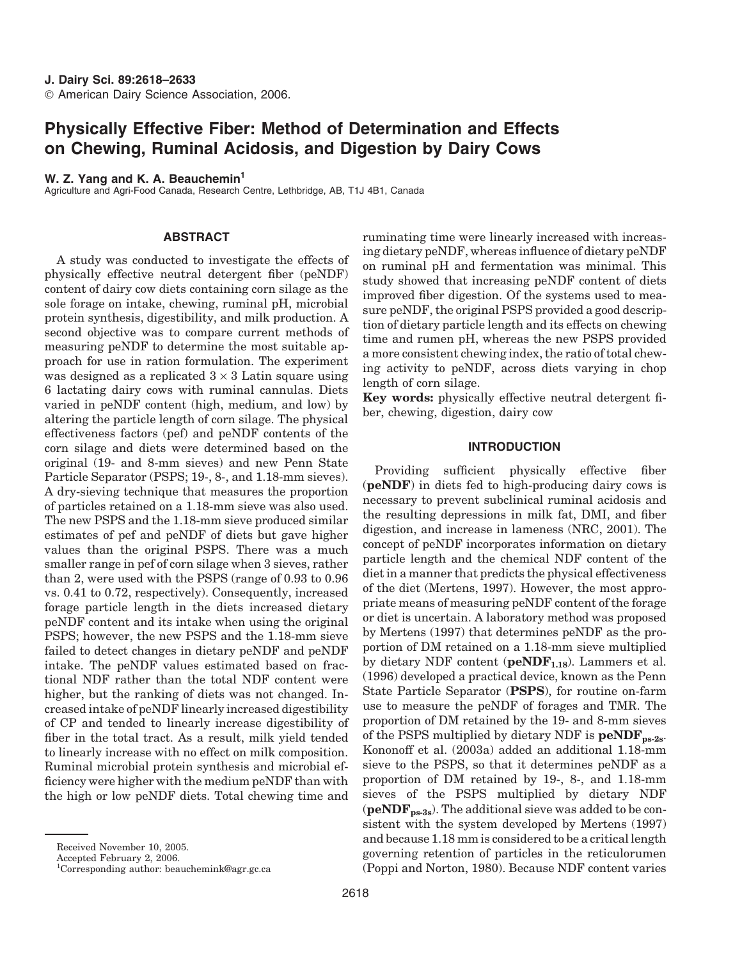# **Physically Effective Fiber: Method of Determination and Effects on Chewing, Ruminal Acidosis, and Digestion by Dairy Cows**

# **W. Z. Yang and K. A. Beauchemin<sup>1</sup>**

Agriculture and Agri-Food Canada, Research Centre, Lethbridge, AB, T1J 4B1, Canada

# **ABSTRACT**

A study was conducted to investigate the effects of physically effective neutral detergent fiber (peNDF) content of dairy cow diets containing corn silage as the sole forage on intake, chewing, ruminal pH, microbial protein synthesis, digestibility, and milk production. A second objective was to compare current methods of measuring peNDF to determine the most suitable approach for use in ration formulation. The experiment was designed as a replicated  $3 \times 3$  Latin square using 6 lactating dairy cows with ruminal cannulas. Diets varied in peNDF content (high, medium, and low) by altering the particle length of corn silage. The physical effectiveness factors (pef) and peNDF contents of the corn silage and diets were determined based on the original (19- and 8-mm sieves) and new Penn State Particle Separator (PSPS; 19-, 8-, and 1.18-mm sieves). A dry-sieving technique that measures the proportion of particles retained on a 1.18-mm sieve was also used. The new PSPS and the 1.18-mm sieve produced similar estimates of pef and peNDF of diets but gave higher values than the original PSPS. There was a much smaller range in pef of corn silage when 3 sieves, rather than 2, were used with the PSPS (range of 0.93 to 0.96 vs. 0.41 to 0.72, respectively). Consequently, increased forage particle length in the diets increased dietary peNDF content and its intake when using the original PSPS; however, the new PSPS and the 1.18-mm sieve failed to detect changes in dietary peNDF and peNDF intake. The peNDF values estimated based on fractional NDF rather than the total NDF content were higher, but the ranking of diets was not changed. Increased intake of peNDF linearly increased digestibility of CP and tended to linearly increase digestibility of fiber in the total tract. As a result, milk yield tended to linearly increase with no effect on milk composition. Ruminal microbial protein synthesis and microbial efficiency were higher with the medium peNDF than with the high or low peNDF diets. Total chewing time and

Accepted February 2, 2006.

1 Corresponding author: beauchemink@agr.gc.ca

ruminating time were linearly increased with increasing dietary peNDF, whereas influence of dietary peNDF on ruminal pH and fermentation was minimal. This study showed that increasing peNDF content of diets improved fiber digestion. Of the systems used to measure peNDF, the original PSPS provided a good description of dietary particle length and its effects on chewing time and rumen pH, whereas the new PSPS provided a more consistent chewing index, the ratio of total chewing activity to peNDF, across diets varying in chop length of corn silage.

**Key words:** physically effective neutral detergent fiber, chewing, digestion, dairy cow

# **INTRODUCTION**

Providing sufficient physically effective fiber (**peNDF**) in diets fed to high-producing dairy cows is necessary to prevent subclinical ruminal acidosis and the resulting depressions in milk fat, DMI, and fiber digestion, and increase in lameness (NRC, 2001). The concept of peNDF incorporates information on dietary particle length and the chemical NDF content of the diet in a manner that predicts the physical effectiveness of the diet (Mertens, 1997). However, the most appropriate means of measuring peNDF content of the forage or diet is uncertain. A laboratory method was proposed by Mertens (1997) that determines peNDF as the proportion of DM retained on a 1.18-mm sieve multiplied by dietary NDF content (**peNDF1.18**). Lammers et al. (1996) developed a practical device, known as the Penn State Particle Separator (**PSPS**), for routine on-farm use to measure the peNDF of forages and TMR. The proportion of DM retained by the 19- and 8-mm sieves of the PSPS multiplied by dietary NDF is **peNDF**<sub>ps-2s</sub>. Kononoff et al. (2003a) added an additional 1.18-mm sieve to the PSPS, so that it determines peNDF as a proportion of DM retained by 19-, 8-, and 1.18-mm sieves of the PSPS multiplied by dietary NDF (**peNDF**<sub>ps-3s</sub>). The additional sieve was added to be consistent with the system developed by Mertens (1997) and because 1.18 mm is considered to be a critical length governing retention of particles in the reticulorumen (Poppi and Norton, 1980). Because NDF content varies

Received November 10, 2005.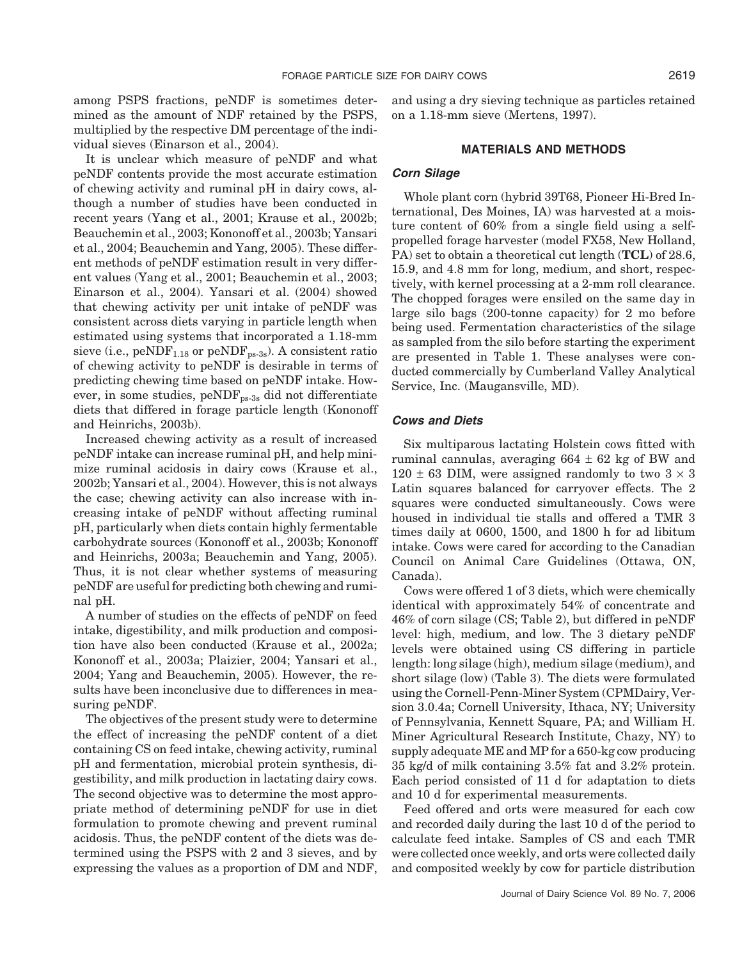among PSPS fractions, peNDF is sometimes determined as the amount of NDF retained by the PSPS, multiplied by the respective DM percentage of the individual sieves (Einarson et al., 2004).

It is unclear which measure of peNDF and what peNDF contents provide the most accurate estimation of chewing activity and ruminal pH in dairy cows, although a number of studies have been conducted in recent years (Yang et al., 2001; Krause et al., 2002b; Beauchemin et al., 2003; Kononoff et al., 2003b; Yansari et al., 2004; Beauchemin and Yang, 2005). These different methods of peNDF estimation result in very different values (Yang et al., 2001; Beauchemin et al., 2003; Einarson et al., 2004). Yansari et al. (2004) showed that chewing activity per unit intake of peNDF was consistent across diets varying in particle length when estimated using systems that incorporated a 1.18-mm sieve (i.e.,  $peNDF_{1.18}$  or  $peNDF_{ps-3s}$ ). A consistent ratio of chewing activity to peNDF is desirable in terms of predicting chewing time based on peNDF intake. However, in some studies,  $peNDF_{ps-3s}$  did not differentiate diets that differed in forage particle length (Kononoff and Heinrichs, 2003b).

Increased chewing activity as a result of increased peNDF intake can increase ruminal pH, and help minimize ruminal acidosis in dairy cows (Krause et al., 2002b; Yansari et al., 2004). However, this is not always the case; chewing activity can also increase with increasing intake of peNDF without affecting ruminal pH, particularly when diets contain highly fermentable carbohydrate sources (Kononoff et al., 2003b; Kononoff and Heinrichs, 2003a; Beauchemin and Yang, 2005). Thus, it is not clear whether systems of measuring peNDF are useful for predicting both chewing and ruminal pH.

A number of studies on the effects of peNDF on feed intake, digestibility, and milk production and composition have also been conducted (Krause et al., 2002a; Kononoff et al., 2003a; Plaizier, 2004; Yansari et al., 2004; Yang and Beauchemin, 2005). However, the results have been inconclusive due to differences in measuring peNDF.

The objectives of the present study were to determine the effect of increasing the peNDF content of a diet containing CS on feed intake, chewing activity, ruminal pH and fermentation, microbial protein synthesis, digestibility, and milk production in lactating dairy cows. The second objective was to determine the most appropriate method of determining peNDF for use in diet formulation to promote chewing and prevent ruminal acidosis. Thus, the peNDF content of the diets was determined using the PSPS with 2 and 3 sieves, and by expressing the values as a proportion of DM and NDF,

and using a dry sieving technique as particles retained on a 1.18-mm sieve (Mertens, 1997).

# **MATERIALS AND METHODS**

# *Corn Silage*

Whole plant corn (hybrid 39T68, Pioneer Hi-Bred International, Des Moines, IA) was harvested at a moisture content of 60% from a single field using a selfpropelled forage harvester (model FX58, New Holland, PA) set to obtain a theoretical cut length (**TCL**) of 28.6, 15.9, and 4.8 mm for long, medium, and short, respectively, with kernel processing at a 2-mm roll clearance. The chopped forages were ensiled on the same day in large silo bags (200-tonne capacity) for 2 mo before being used. Fermentation characteristics of the silage as sampled from the silo before starting the experiment are presented in Table 1. These analyses were conducted commercially by Cumberland Valley Analytical Service, Inc. (Maugansville, MD).

### *Cows and Diets*

Six multiparous lactating Holstein cows fitted with ruminal cannulas, averaging  $664 \pm 62$  kg of BW and 120  $\pm$  63 DIM, were assigned randomly to two 3  $\times$  3 Latin squares balanced for carryover effects. The 2 squares were conducted simultaneously. Cows were housed in individual tie stalls and offered a TMR 3 times daily at 0600, 1500, and 1800 h for ad libitum intake. Cows were cared for according to the Canadian Council on Animal Care Guidelines (Ottawa, ON, Canada).

Cows were offered 1 of 3 diets, which were chemically identical with approximately 54% of concentrate and 46% of corn silage (CS; Table 2), but differed in peNDF level: high, medium, and low. The 3 dietary peNDF levels were obtained using CS differing in particle length: long silage (high), medium silage (medium), and short silage (low) (Table 3). The diets were formulated using the Cornell-Penn-Miner System (CPMDairy, Version 3.0.4a; Cornell University, Ithaca, NY; University of Pennsylvania, Kennett Square, PA; and William H. Miner Agricultural Research Institute, Chazy, NY) to supply adequate ME and MP for a 650-kg cow producing 35 kg/d of milk containing 3.5% fat and 3.2% protein. Each period consisted of 11 d for adaptation to diets and 10 d for experimental measurements.

Feed offered and orts were measured for each cow and recorded daily during the last 10 d of the period to calculate feed intake. Samples of CS and each TMR were collected once weekly, and orts were collected daily and composited weekly by cow for particle distribution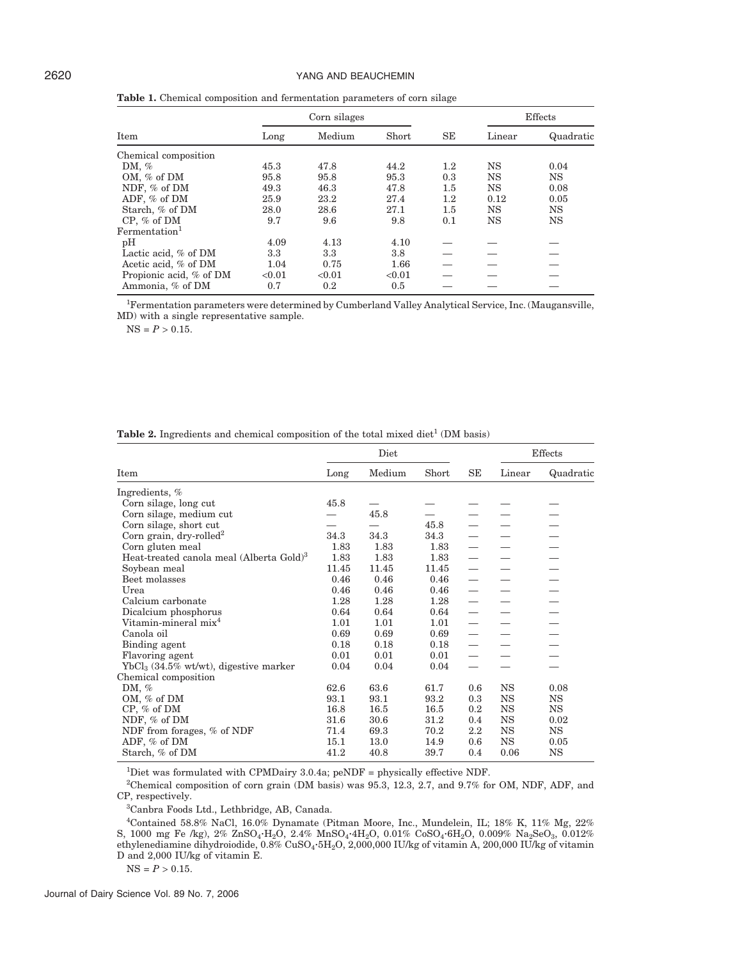|                           |                | Corn silages |        |         | Effects   |           |  |
|---------------------------|----------------|--------------|--------|---------|-----------|-----------|--|
| Item                      | Medium<br>Long |              | Short  | SE      | Linear    | Quadratic |  |
| Chemical composition      |                |              |        |         |           |           |  |
| DM, $%$                   | 45.3           | 47.8         | 44.2   | $1.2\,$ | <b>NS</b> | 0.04      |  |
| OM, % of DM               | 95.8           | 95.8         | 95.3   | 0.3     | <b>NS</b> | <b>NS</b> |  |
| NDF, % of DM              | 49.3           | 46.3         | 47.8   | $1.5\,$ | <b>NS</b> | 0.08      |  |
| ADF, % of DM              | 25.9           | 23.2         | 27.4   | $1.2\,$ | 0.12      | 0.05      |  |
| Starch, % of DM           | 28.0           | 28.6         | 27.1   | $1.5\,$ | <b>NS</b> | <b>NS</b> |  |
| $CP, \%$ of DM            | 9.7            | 9.6          | 9.8    | 0.1     | <b>NS</b> | <b>NS</b> |  |
| Fermentation <sup>1</sup> |                |              |        |         |           |           |  |
| pH                        | 4.09           | 4.13         | 4.10   |         |           |           |  |
| Lactic acid, % of DM      | 3.3            | 3.3          | 3.8    |         |           |           |  |
| Acetic acid, % of DM      | 1.04           | 0.75         | 1.66   |         |           |           |  |
| Propionic acid, % of DM   | < 0.01         | < 0.01       | < 0.01 |         |           |           |  |
| Ammonia, % of DM          | 0.7            | 0.2          | 0.5    |         |           |           |  |

**Table 1.** Chemical composition and fermentation parameters of corn silage

<sup>1</sup>Fermentation parameters were determined by Cumberland Valley Analytical Service, Inc. (Maugansville, MD) with a single representative sample.

 $NS = P > 0.15$ .

|                                                      |       | Diet   |       |                          |                                                                                         | Effects   |  |
|------------------------------------------------------|-------|--------|-------|--------------------------|-----------------------------------------------------------------------------------------|-----------|--|
| Item                                                 | Long  | Medium | Short | SE                       | Linear<br>$_{\rm NS}$<br>$_{\rm NS}$<br>NS<br>$_{\rm NS}$<br>$_{\rm NS}$<br>$_{\rm NS}$ | Quadratic |  |
| Ingredients, %                                       |       |        |       |                          |                                                                                         |           |  |
| Corn silage, long cut                                | 45.8  |        |       |                          |                                                                                         |           |  |
| Corn silage, medium cut                              |       | 45.8   |       |                          |                                                                                         |           |  |
| Corn silage, short cut                               |       |        | 45.8  |                          |                                                                                         |           |  |
| Corn grain, dry-rolled <sup>2</sup>                  | 34.3  | 34.3   | 34.3  |                          |                                                                                         |           |  |
| Corn gluten meal                                     | 1.83  | 1.83   | 1.83  |                          |                                                                                         |           |  |
| Heat-treated canola meal (Alberta Gold) <sup>3</sup> | 1.83  | 1.83   | 1.83  |                          |                                                                                         |           |  |
| Soybean meal                                         | 11.45 | 11.45  | 11.45 |                          |                                                                                         |           |  |
| Beet molasses                                        | 0.46  | 0.46   | 0.46  |                          |                                                                                         |           |  |
| Urea                                                 | 0.46  | 0.46   | 0.46  |                          |                                                                                         |           |  |
| Calcium carbonate                                    | 1.28  | 1.28   | 1.28  |                          |                                                                                         |           |  |
| Dicalcium phosphorus                                 | 0.64  | 0.64   | 0.64  | $\overline{\phantom{0}}$ |                                                                                         |           |  |
| Vitamin-mineral mix <sup>4</sup>                     | 1.01  | 1.01   | 1.01  |                          |                                                                                         |           |  |
| Canola oil                                           | 0.69  | 0.69   | 0.69  |                          |                                                                                         |           |  |
| Binding agent                                        | 0.18  | 0.18   | 0.18  |                          |                                                                                         |           |  |
| Flavoring agent                                      | 0.01  | 0.01   | 0.01  |                          |                                                                                         |           |  |
| $YbCl3$ (34.5% wt/wt), digestive marker              | 0.04  | 0.04   | 0.04  |                          |                                                                                         |           |  |
| Chemical composition                                 |       |        |       |                          |                                                                                         |           |  |
| DM, $%$                                              | 62.6  | 63.6   | 61.7  | 0.6                      |                                                                                         | 0.08      |  |
| OM, % of DM                                          | 93.1  | 93.1   | 93.2  | 0.3                      |                                                                                         | <b>NS</b> |  |
| $CP, \%$ of DM                                       | 16.8  | 16.5   | 16.5  | $0.2\,$                  |                                                                                         | <b>NS</b> |  |
| NDF, % of DM                                         | 31.6  | 30.6   | 31.2  | 0.4                      |                                                                                         | 0.02      |  |
| NDF from forages, % of NDF                           | 71.4  | 69.3   | 70.2  | $2.2\,$                  |                                                                                         | <b>NS</b> |  |
| ADF, % of DM                                         | 15.1  | 13.0   | 14.9  | 0.6                      |                                                                                         | 0.05      |  |
| Starch, % of DM                                      | 41.2  | 40.8   | 39.7  | 0.4                      | 0.06                                                                                    | <b>NS</b> |  |

| Table 2. Ingredients and chemical composition of the total mixed diet <sup>1</sup> (DM basis) |  |  |  |  |  |
|-----------------------------------------------------------------------------------------------|--|--|--|--|--|
|-----------------------------------------------------------------------------------------------|--|--|--|--|--|

<sup>1</sup>Diet was formulated with CPMDairy 3.0.4a; peNDF = physically effective NDF.

<sup>2</sup>Chemical composition of corn grain (DM basis) was 95.3, 12.3, 2.7, and 9.7% for OM, NDF, ADF, and CP, respectively.

3 Canbra Foods Ltd., Lethbridge, AB, Canada.

4 Contained 58.8% NaCl, 16.0% Dynamate (Pitman Moore, Inc., Mundelein, IL; 18% K, 11% Mg, 22% S, 1000 mg Fe /kg),  $2\%$  ZnSO<sub>4</sub>·H<sub>2</sub>O,  $2.4\%$  MnSO<sub>4</sub>·4H<sub>2</sub>O,  $0.01\%$  CoSO<sub>4</sub>·6H<sub>2</sub>O,  $0.009\%$  Na<sub>2</sub>SeO<sub>3</sub>, 0.01% ethylenediamine dihydroiodide, 0.8% CuSO45H2O, 2,000,000 IU/kg of vitamin A, 200,000 IU/kg of vitamin D and 2,000 IU/kg of vitamin E.

 $NS = P > 0.15$ .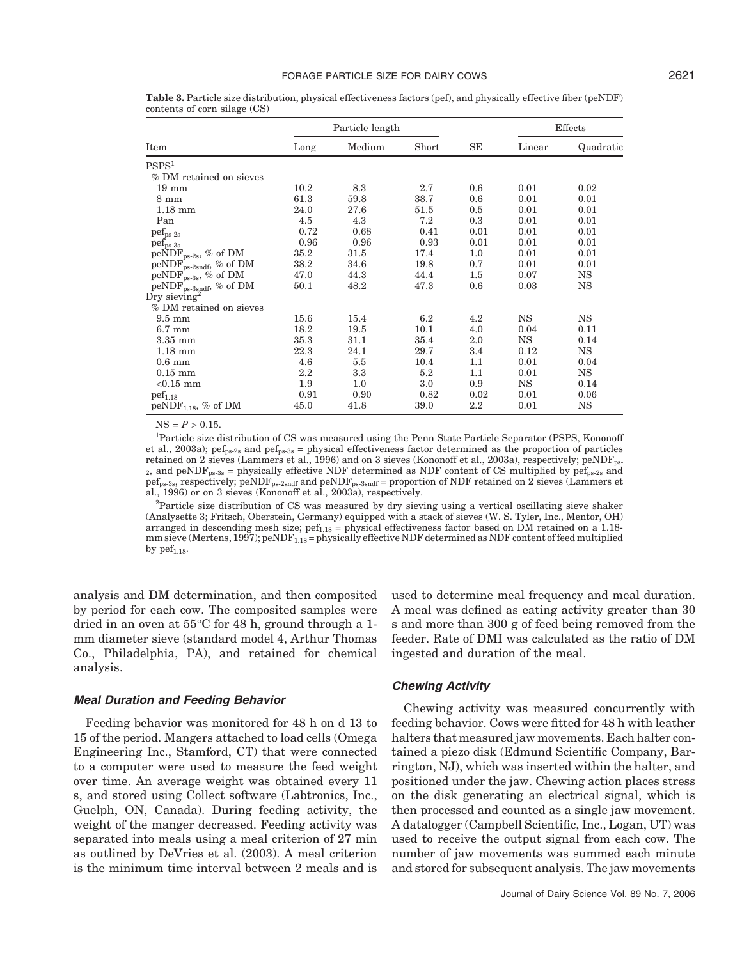|                                                                 |         | Particle length |       |         | <b>Effects</b> |           |  |
|-----------------------------------------------------------------|---------|-----------------|-------|---------|----------------|-----------|--|
| Item                                                            | Long    | Medium          | Short | SE      | Linear         | Quadratic |  |
| PSPS <sup>1</sup>                                               |         |                 |       |         |                |           |  |
| % DM retained on sieves                                         |         |                 |       |         |                |           |  |
| $19 \text{ mm}$                                                 | 10.2    | 8.3             | 2.7   | 0.6     | 0.01           | 0.02      |  |
| $8 \text{ mm}$                                                  | 61.3    | 59.8            | 38.7  | 0.6     | 0.01           | 0.01      |  |
| $1.18$ mm                                                       | 24.0    | 27.6            | 51.5  | 0.5     | 0.01           | 0.01      |  |
| Pan                                                             | 4.5     | 4.3             | 7.2   | 0.3     | 0.01           | 0.01      |  |
| $\mathrm{pcf}_{\mathrm{ps}\text{-}2\mathrm{s}}$                 | 0.72    | 0.68            | 0.41  | 0.01    | 0.01           | 0.01      |  |
| $\rm{pcf}_{\rm{ps-3s}}$                                         | 0.96    | 0.96            | 0.93  | 0.01    | 0.01           | 0.01      |  |
| $\text{peNDF}_{\text{ps-2s}},$ % of DM                          | 35.2    | 31.5            | 17.4  | 1.0     | 0.01           | 0.01      |  |
| $peNDF_{ps-2sndf}$ , % of DM                                    | 38.2    | 34.6            | 19.8  | 0.7     | 0.01           | 0.01      |  |
| $peNDF_{ps-3s}$ , % of DM                                       | 47.0    | 44.3            | 44.4  | $1.5\,$ | 0.07           | NS        |  |
|                                                                 | 50.1    | 48.2            | 47.3  | 0.6     | 0.03           | NS        |  |
| peNDF <sub>ps-3sndf</sub> , % of DM<br>Dry sieving <sup>2</sup> |         |                 |       |         |                |           |  |
| % DM retained on sieves                                         |         |                 |       |         |                |           |  |
| $9.5 \text{ mm}$                                                | 15.6    | 15.4            | 6.2   | 4.2     | $_{\rm NS}$    | <b>NS</b> |  |
| $6.7 \text{ mm}$                                                | 18.2    | 19.5            | 10.1  | 4.0     | 0.04           | 0.11      |  |
| $3.35$ mm                                                       | 35.3    | 31.1            | 35.4  | 2.0     | NS             | 0.14      |  |
| $1.18$ mm                                                       | 22.3    | 24.1            | 29.7  | 3.4     | 0.12           | <b>NS</b> |  |
| $0.6 \text{ mm}$                                                | 4.6     | 5.5             | 10.4  | 1.1     | 0.01           | 0.04      |  |
| $0.15$ mm                                                       | $2.2\,$ | 3.3             | 5.2   | 1.1     | 0.01           | NS        |  |
| $< 0.15$ mm                                                     | 1.9     | 1.0             | 3.0   | 0.9     | NS             | 0.14      |  |
| $\text{ref}_{1.18}$                                             | 0.91    | 0.90            | 0.82  | 0.02    | 0.01           | 0.06      |  |
| peNDF <sub>1.18</sub> , % of DM                                 | 45.0    | 41.8            | 39.0  | 2.2     | 0.01           | NS        |  |

**Table 3.** Particle size distribution, physical effectiveness factors (pef), and physically effective fiber (peNDF) contents of corn silage (CS)

 $NS = P > 0.15$ .

<sup>1</sup>Particle size distribution of CS was measured using the Penn State Particle Separator (PSPS, Kononoff et al., 2003a);  $\text{perf}_{ps-2s}$  and  $\text{perf}_{ps-3s}$  = physical effectiveness factor determined as the proportion of particles retained on 2 sieves (Lammers et al., 1996) and on 3 sieves (Kononoff et al., 2003a), respectively; peNDF<sub>ps-</sub>  $_{2s}$  and peNDF<sub>ps-3s</sub> = physically effective NDF determined as NDF content of CS multiplied by pef<sub>ps-2s</sub> and pef<sub>ps-3s</sub>, respectively; peNDF<sub>ps-2sndf</sub> and peNDF<sub>ps-3sndf</sub> = proportion of NDF retained on 2 sieves (Lammers et al., 1996) or on 3 sieves (Kononoff et al., 2003a), respectively.

<sup>2</sup>Particle size distribution of CS was measured by dry sieving using a vertical oscillating sieve shaker (Analysette 3; Fritsch, Oberstein, Germany) equipped with a stack of sieves (W. S. Tyler, Inc., Mentor, OH) arranged in descending mesh size;  $\text{ref}_{1.18}$  = physical effectiveness factor based on DM retained on a 1.18mm sieve (Mertens, 1997); peNDF1.18 = physically effective NDF determined as NDF content of feed multiplied by  $\text{pcf}_{1.18}$ .

analysis and DM determination, and then composited by period for each cow. The composited samples were dried in an oven at 55°C for 48 h, ground through a 1 mm diameter sieve (standard model 4, Arthur Thomas Co., Philadelphia, PA), and retained for chemical analysis.

# *Meal Duration and Feeding Behavior*

Feeding behavior was monitored for 48 h on d 13 to 15 of the period. Mangers attached to load cells (Omega Engineering Inc., Stamford, CT) that were connected to a computer were used to measure the feed weight over time. An average weight was obtained every 11 s, and stored using Collect software (Labtronics, Inc., Guelph, ON, Canada). During feeding activity, the weight of the manger decreased. Feeding activity was separated into meals using a meal criterion of 27 min as outlined by DeVries et al. (2003). A meal criterion is the minimum time interval between 2 meals and is used to determine meal frequency and meal duration. A meal was defined as eating activity greater than 30 s and more than 300 g of feed being removed from the feeder. Rate of DMI was calculated as the ratio of DM ingested and duration of the meal.

# *Chewing Activity*

Chewing activity was measured concurrently with feeding behavior. Cows were fitted for 48 h with leather halters that measured jaw movements. Each halter contained a piezo disk (Edmund Scientific Company, Barrington, NJ), which was inserted within the halter, and positioned under the jaw. Chewing action places stress on the disk generating an electrical signal, which is then processed and counted as a single jaw movement. A datalogger (Campbell Scientific, Inc., Logan, UT) was used to receive the output signal from each cow. The number of jaw movements was summed each minute and stored for subsequent analysis. The jaw movements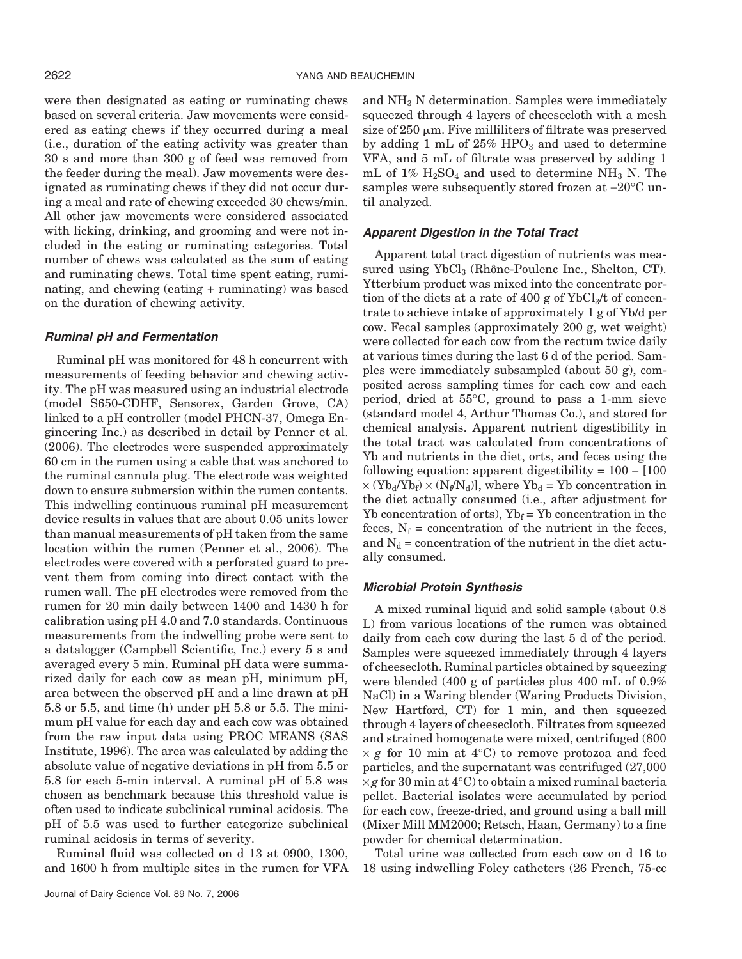were then designated as eating or ruminating chews based on several criteria. Jaw movements were considered as eating chews if they occurred during a meal (i.e., duration of the eating activity was greater than 30 s and more than 300 g of feed was removed from the feeder during the meal). Jaw movements were designated as ruminating chews if they did not occur during a meal and rate of chewing exceeded 30 chews/min. All other jaw movements were considered associated with licking, drinking, and grooming and were not included in the eating or ruminating categories. Total number of chews was calculated as the sum of eating and ruminating chews. Total time spent eating, ruminating, and chewing (eating + ruminating) was based on the duration of chewing activity.

# *Ruminal pH and Fermentation*

Ruminal pH was monitored for 48 h concurrent with measurements of feeding behavior and chewing activity. The pH was measured using an industrial electrode (model S650-CDHF, Sensorex, Garden Grove, CA) linked to a pH controller (model PHCN-37, Omega Engineering Inc.) as described in detail by Penner et al. (2006). The electrodes were suspended approximately 60 cm in the rumen using a cable that was anchored to the ruminal cannula plug. The electrode was weighted down to ensure submersion within the rumen contents. This indwelling continuous ruminal pH measurement device results in values that are about 0.05 units lower than manual measurements of pH taken from the same location within the rumen (Penner et al., 2006). The electrodes were covered with a perforated guard to prevent them from coming into direct contact with the rumen wall. The pH electrodes were removed from the rumen for 20 min daily between 1400 and 1430 h for calibration using pH 4.0 and 7.0 standards. Continuous measurements from the indwelling probe were sent to a datalogger (Campbell Scientific, Inc.) every 5 s and averaged every 5 min. Ruminal pH data were summarized daily for each cow as mean pH, minimum pH, area between the observed pH and a line drawn at pH 5.8 or 5.5, and time (h) under pH 5.8 or 5.5. The minimum pH value for each day and each cow was obtained from the raw input data using PROC MEANS (SAS Institute, 1996). The area was calculated by adding the absolute value of negative deviations in pH from 5.5 or 5.8 for each 5-min interval. A ruminal pH of 5.8 was chosen as benchmark because this threshold value is often used to indicate subclinical ruminal acidosis. The pH of 5.5 was used to further categorize subclinical ruminal acidosis in terms of severity.

Ruminal fluid was collected on d 13 at 0900, 1300, and 1600 h from multiple sites in the rumen for VFA

and NH3 N determination. Samples were immediately squeezed through 4 layers of cheesecloth with a mesh size of  $250 \mu m$ . Five milliliters of filtrate was preserved by adding 1 mL of  $25\%$  HPO<sub>3</sub> and used to determine VFA, and 5 mL of filtrate was preserved by adding 1 mL of  $1\%$  H<sub>2</sub>SO<sub>4</sub> and used to determine NH<sub>3</sub> N. The samples were subsequently stored frozen at –20°C until analyzed.

# *Apparent Digestion in the Total Tract*

Apparent total tract digestion of nutrients was measured using  $YbCl<sub>3</sub>$  (Rhône-Poulenc Inc., Shelton, CT). Ytterbium product was mixed into the concentrate portion of the diets at a rate of  $400$  g of YbCl<sub>3</sub>/t of concentrate to achieve intake of approximately 1 g of Yb/d per cow. Fecal samples (approximately 200 g, wet weight) were collected for each cow from the rectum twice daily at various times during the last 6 d of the period. Samples were immediately subsampled (about 50 g), composited across sampling times for each cow and each period, dried at 55°C, ground to pass a 1-mm sieve (standard model 4, Arthur Thomas Co.), and stored for chemical analysis. Apparent nutrient digestibility in the total tract was calculated from concentrations of Yb and nutrients in the diet, orts, and feces using the following equation: apparent digestibility =  $100 - [100]$  $\times$  (Yb<sub>d</sub>/Yb<sub>f</sub>)  $\times$  (N<sub>f</sub>/N<sub>d</sub>)], where Yb<sub>d</sub> = Yb concentration in the diet actually consumed (i.e., after adjustment for  $Yb$  concentration of orts),  $Yb_f = Yb$  concentration in the feces,  $N_f$  = concentration of the nutrient in the feces, and  $N_d$  = concentration of the nutrient in the diet actually consumed.

# *Microbial Protein Synthesis*

A mixed ruminal liquid and solid sample (about 0.8 L) from various locations of the rumen was obtained daily from each cow during the last 5 d of the period. Samples were squeezed immediately through 4 layers of cheesecloth. Ruminal particles obtained by squeezing were blended (400 g of particles plus 400 mL of 0.9% NaCl) in a Waring blender (Waring Products Division, New Hartford, CT) for 1 min, and then squeezed through 4 layers of cheesecloth. Filtrates from squeezed and strained homogenate were mixed, centrifuged (800  $\times g$  for 10 min at 4<sup>o</sup>C) to remove protozoa and feed particles, and the supernatant was centrifuged (27,000  $\times g$  for 30 min at 4<sup>o</sup>C) to obtain a mixed ruminal bacteria pellet. Bacterial isolates were accumulated by period for each cow, freeze-dried, and ground using a ball mill (Mixer Mill MM2000; Retsch, Haan, Germany) to a fine powder for chemical determination.

Total urine was collected from each cow on d 16 to 18 using indwelling Foley catheters (26 French, 75-cc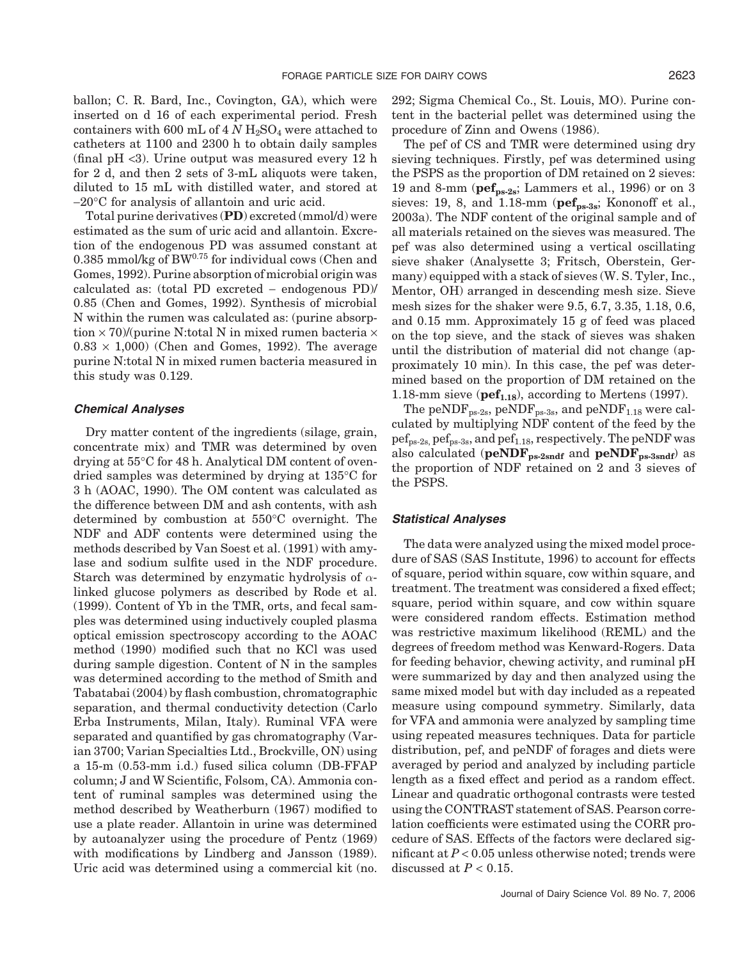ballon; C. R. Bard, Inc., Covington, GA), which were inserted on d 16 of each experimental period. Fresh containers with 600 mL of  $4 N H_2SO_4$  were attached to catheters at 1100 and 2300 h to obtain daily samples  $(\text{final pH} < 3)$ . Urine output was measured every 12 h for 2 d, and then 2 sets of 3-mL aliquots were taken, diluted to 15 mL with distilled water, and stored at −20°C for analysis of allantoin and uric acid.

Total purine derivatives (**PD**) excreted (mmol/d) were estimated as the sum of uric acid and allantoin. Excretion of the endogenous PD was assumed constant at 0.385 mmol/kg of  $BW^{0.75}$  for individual cows (Chen and Gomes, 1992). Purine absorption of microbial origin was calculated as: (total PD excreted − endogenous PD)/ 0.85 (Chen and Gomes, 1992). Synthesis of microbial N within the rumen was calculated as: (purine absorption  $\times$  70)/(purine N:total N in mixed rumen bacteria  $\times$  $0.83 \times 1,000$  (Chen and Gomes, 1992). The average purine N:total N in mixed rumen bacteria measured in this study was 0.129.

# *Chemical Analyses*

Dry matter content of the ingredients (silage, grain, concentrate mix) and TMR was determined by oven drying at 55°C for 48 h. Analytical DM content of ovendried samples was determined by drying at 135°C for 3 h (AOAC, 1990). The OM content was calculated as the difference between DM and ash contents, with ash determined by combustion at 550°C overnight. The NDF and ADF contents were determined using the methods described by Van Soest et al. (1991) with amylase and sodium sulfite used in the NDF procedure. Starch was determined by enzymatic hydrolysis of  $\alpha$ linked glucose polymers as described by Rode et al. (1999). Content of Yb in the TMR, orts, and fecal samples was determined using inductively coupled plasma optical emission spectroscopy according to the AOAC method (1990) modified such that no KCl was used during sample digestion. Content of N in the samples was determined according to the method of Smith and Tabatabai (2004) by flash combustion, chromatographic separation, and thermal conductivity detection (Carlo Erba Instruments, Milan, Italy). Ruminal VFA were separated and quantified by gas chromatography (Varian 3700; Varian Specialties Ltd., Brockville, ON) using a 15-m (0.53-mm i.d.) fused silica column (DB-FFAP column; J and W Scientific, Folsom, CA). Ammonia content of ruminal samples was determined using the method described by Weatherburn (1967) modified to use a plate reader. Allantoin in urine was determined by autoanalyzer using the procedure of Pentz (1969) with modifications by Lindberg and Jansson (1989). Uric acid was determined using a commercial kit (no.

292; Sigma Chemical Co., St. Louis, MO). Purine content in the bacterial pellet was determined using the procedure of Zinn and Owens (1986).

The pef of CS and TMR were determined using dry sieving techniques. Firstly, pef was determined using the PSPS as the proportion of DM retained on 2 sieves: 19 and 8-mm (**pefps-2s**; Lammers et al., 1996) or on 3 sieves: 19, 8, and 1.18-mm (pef<sub>ps-3s</sub>; Kononoff et al., 2003a). The NDF content of the original sample and of all materials retained on the sieves was measured. The pef was also determined using a vertical oscillating sieve shaker (Analysette 3; Fritsch, Oberstein, Germany) equipped with a stack of sieves (W. S. Tyler, Inc., Mentor, OH) arranged in descending mesh size. Sieve mesh sizes for the shaker were 9.5, 6.7, 3.35, 1.18, 0.6, and 0.15 mm. Approximately 15 g of feed was placed on the top sieve, and the stack of sieves was shaken until the distribution of material did not change (approximately 10 min). In this case, the pef was determined based on the proportion of DM retained on the 1.18-mm sieve ( $\mathbf{perf}_{1.18}$ ), according to Mertens (1997).

The peNDF<sub>ps-2s</sub>, peNDF<sub>ps-3s</sub>, and peNDF<sub>1.18</sub> were calculated by multiplying NDF content of the feed by the  $\mathrm{pcf}_{\mathrm{ps}\text{-}2\mathrm{s},\mathrm{pcf}_{\mathrm{ps}\text{-}3\mathrm{s}},}$  and  $\mathrm{pcf}_{1.18}$ , respectively. The peNDF was also calculated (**peNDF**<sub>ps-2sndf</sub> and **peNDF**<sub>ps-3sndf</sub>) as the proportion of NDF retained on 2 and 3 sieves of the PSPS.

## *Statistical Analyses*

The data were analyzed using the mixed model procedure of SAS (SAS Institute, 1996) to account for effects of square, period within square, cow within square, and treatment. The treatment was considered a fixed effect; square, period within square, and cow within square were considered random effects. Estimation method was restrictive maximum likelihood (REML) and the degrees of freedom method was Kenward-Rogers. Data for feeding behavior, chewing activity, and ruminal pH were summarized by day and then analyzed using the same mixed model but with day included as a repeated measure using compound symmetry. Similarly, data for VFA and ammonia were analyzed by sampling time using repeated measures techniques. Data for particle distribution, pef, and peNDF of forages and diets were averaged by period and analyzed by including particle length as a fixed effect and period as a random effect. Linear and quadratic orthogonal contrasts were tested using the CONTRAST statement of SAS. Pearson correlation coefficients were estimated using the CORR procedure of SAS. Effects of the factors were declared significant at *P* < 0.05 unless otherwise noted; trends were discussed at  $P < 0.15$ .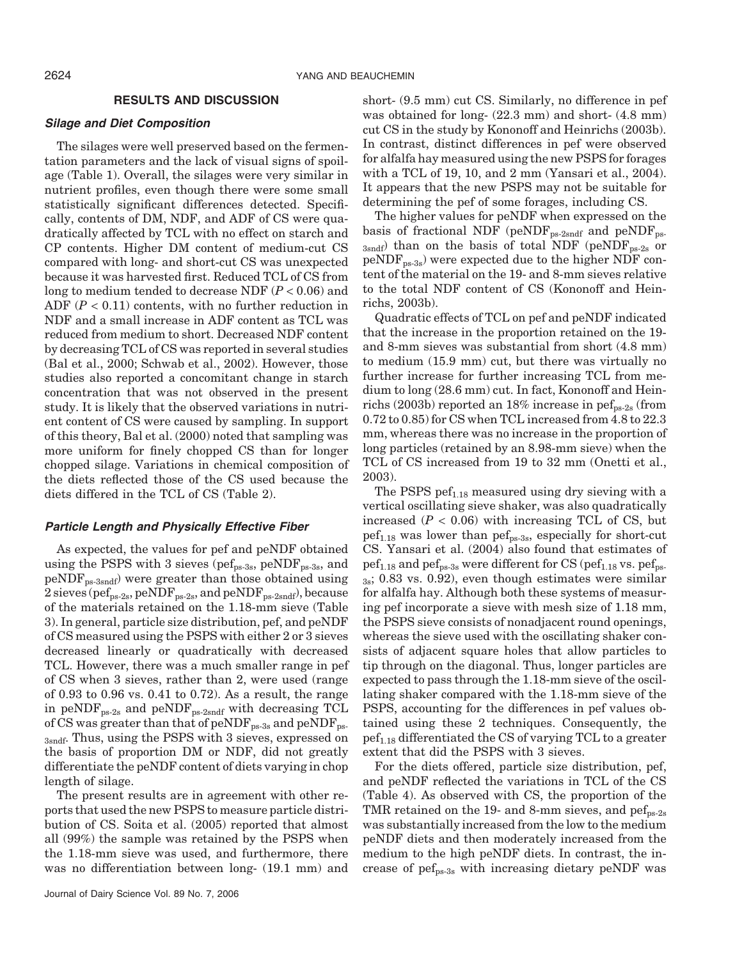# **RESULTS AND DISCUSSION**

#### *Silage and Diet Composition*

The silages were well preserved based on the fermentation parameters and the lack of visual signs of spoilage (Table 1). Overall, the silages were very similar in nutrient profiles, even though there were some small statistically significant differences detected. Specifically, contents of DM, NDF, and ADF of CS were quadratically affected by TCL with no effect on starch and CP contents. Higher DM content of medium-cut CS compared with long- and short-cut CS was unexpected because it was harvested first. Reduced TCL of CS from long to medium tended to decrease NDF (*P* < 0.06) and ADF  $(P < 0.11)$  contents, with no further reduction in NDF and a small increase in ADF content as TCL was reduced from medium to short. Decreased NDF content by decreasing TCL of CS was reported in several studies (Bal et al., 2000; Schwab et al., 2002). However, those studies also reported a concomitant change in starch concentration that was not observed in the present study. It is likely that the observed variations in nutrient content of CS were caused by sampling. In support of this theory, Bal et al. (2000) noted that sampling was more uniform for finely chopped CS than for longer chopped silage. Variations in chemical composition of the diets reflected those of the CS used because the diets differed in the TCL of CS (Table 2).

# *Particle Length and Physically Effective Fiber*

As expected, the values for pef and peNDF obtained using the PSPS with 3 sieves ( $\text{pef}_{\text{ps-3s}}$ ,  $\text{peNDF}_{\text{ps-3s}}$ , and  $peNDF_{ps-3sndf}$ ) were greater than those obtained using  $2$  sieves (pef<sub>ps-2s</sub>, peNDF<sub>ps-2s</sub>, and peNDF<sub>ps-2sndf</sub>), because of the materials retained on the 1.18-mm sieve (Table 3). In general, particle size distribution, pef, and peNDF of CS measured using the PSPS with either 2 or 3 sieves decreased linearly or quadratically with decreased TCL. However, there was a much smaller range in pef of CS when 3 sieves, rather than 2, were used (range of 0.93 to 0.96 vs. 0.41 to 0.72). As a result, the range in peND $F_{ps-2s}$  and peND $F_{ps-2s}$ <sub>2sndf</sub> with decreasing TCL of CS was greater than that of peNDF<sub>ps-3s</sub> and peNDF<sub>ps-</sub> 3sndf. Thus, using the PSPS with 3 sieves, expressed on the basis of proportion DM or NDF, did not greatly differentiate the peNDF content of diets varying in chop length of silage.

The present results are in agreement with other reports that used the new PSPS to measure particle distribution of CS. Soita et al. (2005) reported that almost all (99%) the sample was retained by the PSPS when the 1.18-mm sieve was used, and furthermore, there was no differentiation between long- (19.1 mm) and short- (9.5 mm) cut CS. Similarly, no difference in pef was obtained for long- (22.3 mm) and short- (4.8 mm) cut CS in the study by Kononoff and Heinrichs (2003b). In contrast, distinct differences in pef were observed for alfalfa hay measured using the new PSPS for forages with a TCL of 19, 10, and 2 mm (Yansari et al., 2004). It appears that the new PSPS may not be suitable for determining the pef of some forages, including CS.

The higher values for peNDF when expressed on the basis of fractional NDF (peNDF<sub>ps-2sndf</sub> and peNDF<sub>ps-</sub>  $_{3\text{snd}}$ ) than on the basis of total NDF (peNDF<sub>ps-2s</sub> or  $peNDF_{ps-3s}$ ) were expected due to the higher NDF content of the material on the 19- and 8-mm sieves relative to the total NDF content of CS (Kononoff and Heinrichs, 2003b).

Quadratic effects of TCL on pef and peNDF indicated that the increase in the proportion retained on the 19 and 8-mm sieves was substantial from short (4.8 mm) to medium (15.9 mm) cut, but there was virtually no further increase for further increasing TCL from medium to long (28.6 mm) cut. In fact, Kononoff and Heinrichs (2003b) reported an 18% increase in pe $f_{\text{ns-2s}}$  (from 0.72 to 0.85) for CS when TCL increased from 4.8 to 22.3 mm, whereas there was no increase in the proportion of long particles (retained by an 8.98-mm sieve) when the TCL of CS increased from 19 to 32 mm (Onetti et al., 2003).

The PSPS pe $f_{1,18}$  measured using dry sieving with a vertical oscillating sieve shaker, was also quadratically increased  $(P < 0.06)$  with increasing TCL of CS, but  $\text{pcf}_{1.18}$  was lower than  $\text{pcf}_{\text{ps-3s}},$  especially for short-cut CS. Yansari et al. (2004) also found that estimates of pef<sub>1.18</sub> and pef<sub>ps-3s</sub> were different for CS (pef<sub>1.18</sub> vs. pef<sub>ps-</sub> 3s; 0.83 vs. 0.92), even though estimates were similar for alfalfa hay. Although both these systems of measuring pef incorporate a sieve with mesh size of 1.18 mm, the PSPS sieve consists of nonadjacent round openings, whereas the sieve used with the oscillating shaker consists of adjacent square holes that allow particles to tip through on the diagonal. Thus, longer particles are expected to pass through the 1.18-mm sieve of the oscillating shaker compared with the 1.18-mm sieve of the PSPS, accounting for the differences in pef values obtained using these 2 techniques. Consequently, the  $\text{pef}_{1.18}$  differentiated the CS of varying TCL to a greater extent that did the PSPS with 3 sieves.

For the diets offered, particle size distribution, pef, and peNDF reflected the variations in TCL of the CS (Table 4). As observed with CS, the proportion of the TMR retained on the 19- and 8-mm sieves, and  $\text{pef}_{\text{ps-2s}}$ was substantially increased from the low to the medium peNDF diets and then moderately increased from the medium to the high peNDF diets. In contrast, the increase of  $\text{pcf}_{\text{ps-3s}}$  with increasing dietary  $\text{peNDF}$  was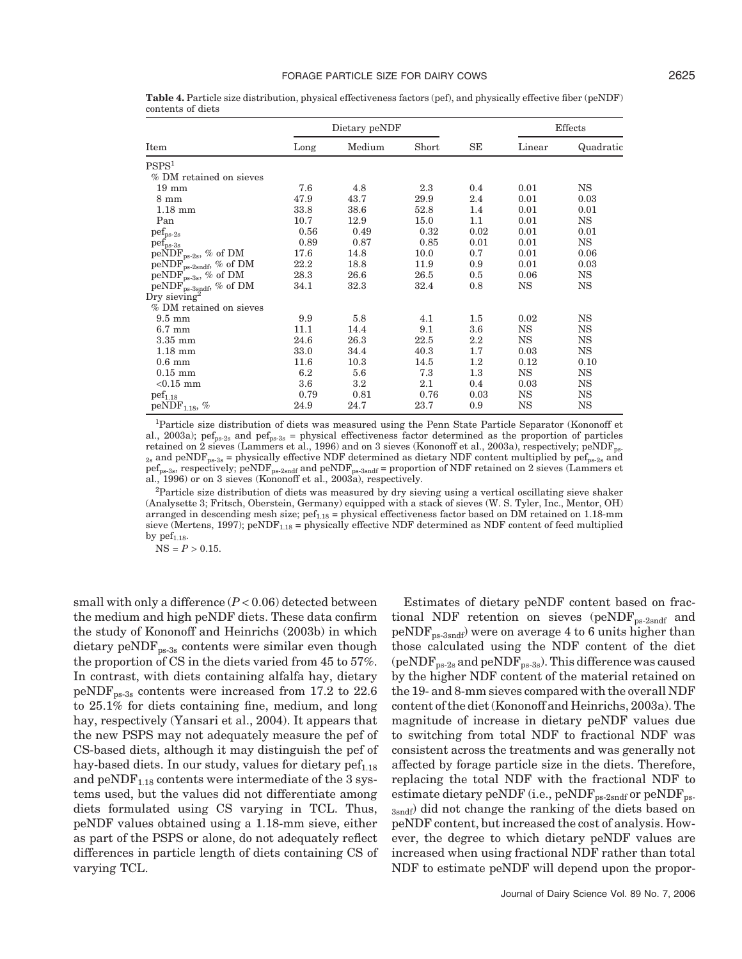|                                          |      | Dietary peNDF |         |         | Effects     |           |  |
|------------------------------------------|------|---------------|---------|---------|-------------|-----------|--|
| Item                                     | Long | Medium        | Short   | SE      | Linear      | Quadratic |  |
| PSPS <sup>1</sup>                        |      |               |         |         |             |           |  |
| % DM retained on sieves                  |      |               |         |         |             |           |  |
| $19 \text{ mm}$                          | 7.6  | 4.8           | 2.3     | 0.4     | 0.01        | <b>NS</b> |  |
| $8 \text{ mm}$                           | 47.9 | 43.7          | 29.9    | 2.4     | 0.01        | 0.03      |  |
| $1.18$ mm                                | 33.8 | 38.6          | 52.8    | 1.4     | 0.01        | 0.01      |  |
| Pan                                      | 10.7 | 12.9          | 15.0    | 1.1     | 0.01        | <b>NS</b> |  |
| $\rm{pcf}_{\rm{ps\text{-}2s}}$           | 0.56 | 0.49          | 0.32    | 0.02    | 0.01        | 0.01      |  |
| $\rm{pcf}_{\rm{ps\text{-}3s}}$           | 0.89 | 0.87          | 0.85    | 0.01    | 0.01        | <b>NS</b> |  |
| pe $\text{NDF}_{\text{ps-2s}}$ , % of DM | 17.6 | 14.8          | 10.0    | 0.7     | 0.01        | 0.06      |  |
| $peNDF_{ps-2sndf}$ , % of DM             | 22.2 | 18.8          | 11.9    | 0.9     | 0.01        | 0.03      |  |
| $\text{peNDF}_{\text{ps-3s}},$ % of DM   | 28.3 | 26.6          | 26.5    | 0.5     | 0.06        | NS        |  |
| peNDF <sub>ps-3sndf</sub> , % of DM      | 34.1 | 32.3          | 32.4    | 0.8     | NS          | NS        |  |
| Dry sieving <sup>2</sup>                 |      |               |         |         |             |           |  |
| % DM retained on sieves                  |      |               |         |         |             |           |  |
| $9.5 \text{ mm}$                         | 9.9  | 5.8           | 4.1     | $1.5\,$ | 0.02        | NS        |  |
| $6.7 \text{ mm}$                         | 11.1 | 14.4          | 9.1     | 3.6     | <b>NS</b>   | NS        |  |
| 3.35 mm                                  | 24.6 | 26.3          | 22.5    | 2.2     | NS          | NS        |  |
| $1.18$ mm                                | 33.0 | 34.4          | 40.3    | 1.7     | 0.03        | NS        |  |
| $0.6$ mm                                 | 11.6 | 10.3          | 14.5    | $1.2\,$ | 0.12        | 0.10      |  |
| $0.15$ mm                                | 6.2  | 5.6           | 7.3     | $1.3\,$ | <b>NS</b>   | NS        |  |
| $< 0.15$ mm                              | 3.6  | $3.2\,$       | $2.1\,$ | 0.4     | 0.03        | <b>NS</b> |  |
| $\text{ref}_{1.18}$                      | 0.79 | 0.81          | 0.76    | 0.03    | $_{\rm NS}$ | NS        |  |
| peNDF <sub>1.18</sub> , %                | 24.9 | 24.7          | 23.7    | 0.9     | $_{\rm NS}$ | NS        |  |

**Table 4.** Particle size distribution, physical effectiveness factors (pef), and physically effective fiber (peNDF) contents of diets

<sup>1</sup>Particle size distribution of diets was measured using the Penn State Particle Separator (Kononoff et al., 2003a); pef<sub>ps-2s</sub> and pef<sub>ps-3s</sub> = physical effectiveness factor determined as the proportion of particles retained on 2 sieves (Lammers et al., 1996) and on 3 sieves (Kononoff et al., 2003a), respectively; peNDF<sub>ps-</sub>  $_{2s}$  and peNDF<sub>ps-3s</sub> = physically effective NDF determined as dietary NDF content multiplied by pef<sub>ps-2s</sub> and pef<sub>ps-3s</sub>, respectively; peNDF<sub>ps-2sndf</sub> and peNDF<sub>ps-3sndf</sub> = proportion of NDF retained on 2 sieves (Lammers et al., 1996) or on 3 sieves (Kononoff et al., 2003a), respectively.

<sup>2</sup>Particle size distribution of diets was measured by dry sieving using a vertical oscillating sieve shaker (Analysette 3; Fritsch, Oberstein, Germany) equipped with a stack of sieves (W. S. Tyler, Inc., Mentor, OH) arranged in descending mesh size;  $\text{pcf}_{1.18}$  = physical effectiveness factor based on DM retained on 1.18-mm sieve (Mertens, 1997); peNDF<sub>1.18</sub> = physically effective NDF determined as NDF content of feed multiplied by  $\text{pcf}_{1.18}$ .

 $NS = P > 0.15$ .

small with only a difference  $(P < 0.06)$  detected between the medium and high peNDF diets. These data confirm the study of Kononoff and Heinrichs (2003b) in which dietary  $peNDF_{ps-3s}$  contents were similar even though the proportion of CS in the diets varied from 45 to 57%. In contrast, with diets containing alfalfa hay, dietary  $peNDF<sub>ps-3s</sub>$  contents were increased from 17.2 to 22.6 to 25.1% for diets containing fine, medium, and long hay, respectively (Yansari et al., 2004). It appears that the new PSPS may not adequately measure the pef of CS-based diets, although it may distinguish the pef of hay-based diets. In our study, values for dietary  $\text{ref}_{1.18}$ and  $peNDF<sub>1.18</sub>$  contents were intermediate of the 3 systems used, but the values did not differentiate among diets formulated using CS varying in TCL. Thus, peNDF values obtained using a 1.18-mm sieve, either as part of the PSPS or alone, do not adequately reflect differences in particle length of diets containing CS of varying TCL.

Estimates of dietary peNDF content based on fractional NDF retention on sieves (peNDF<sub>ps-2sndf</sub> and  $peNDF_{ps-3sndf}$ ) were on average 4 to 6 units higher than those calculated using the NDF content of the diet (peNDF<sub>ps-2s</sub> and peNDF<sub>ps-3s</sub>). This difference was caused by the higher NDF content of the material retained on the 19- and 8-mm sieves compared with the overall NDF content of the diet (Kononoff and Heinrichs, 2003a). The magnitude of increase in dietary peNDF values due to switching from total NDF to fractional NDF was consistent across the treatments and was generally not affected by forage particle size in the diets. Therefore, replacing the total NDF with the fractional NDF to estimate dietary peNDF (i.e., peNDF<sub>ps-2sndf</sub> or peNDF<sub>ps-</sub> <sub>3sndf</sub>) did not change the ranking of the diets based on peNDF content, but increased the cost of analysis. However, the degree to which dietary peNDF values are increased when using fractional NDF rather than total NDF to estimate peNDF will depend upon the propor-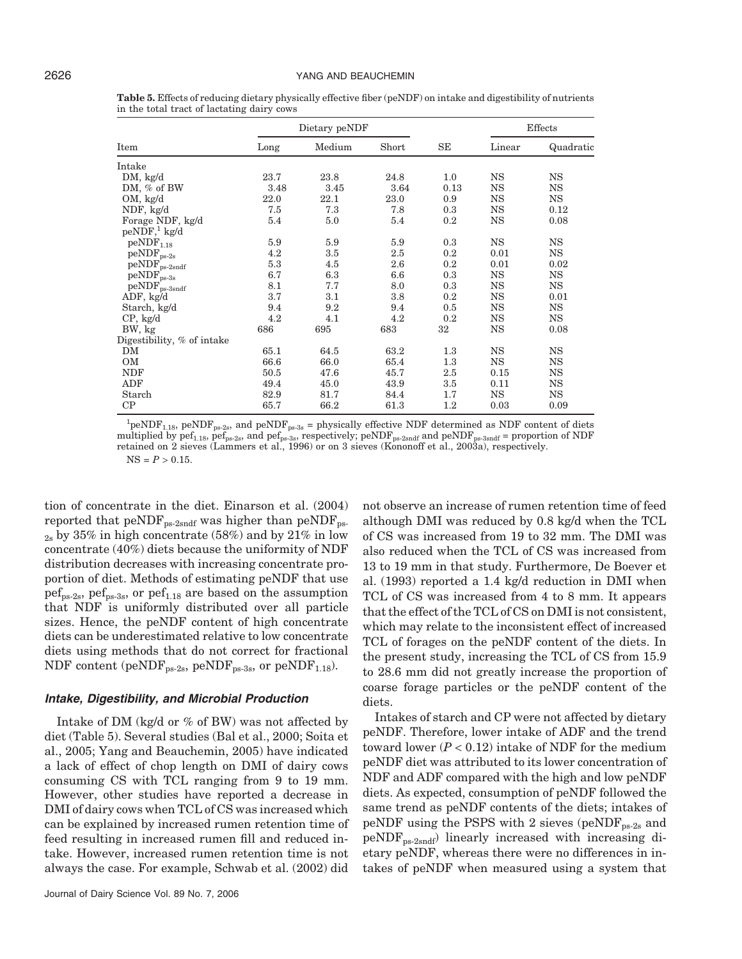|                               |      | Dietary peNDF |       |         | Effects     |           |  |
|-------------------------------|------|---------------|-------|---------|-------------|-----------|--|
| Item                          | Long | Medium        | Short | SE      | Linear      | Quadratic |  |
| Intake                        |      |               |       |         |             |           |  |
| DM, kg/d                      | 23.7 | 23.8          | 24.8  | $1.0\,$ | NS          | NS        |  |
| DM, % of BW                   | 3.48 | 3.45          | 3.64  | 0.13    | <b>NS</b>   | NS        |  |
| $OM$ , kg/d                   | 22.0 | 22.1          | 23.0  | 0.9     | <b>NS</b>   | NS        |  |
| NDF, kg/d                     | 7.5  | 7.3           | 7.8   | 0.3     | <b>NS</b>   | 0.12      |  |
| Forage NDF, kg/d              | 5.4  | 5.0           | 5.4   | $0.2\,$ | <b>NS</b>   | 0.08      |  |
| peNDF <sup>1</sup> kg/d       |      |               |       |         |             |           |  |
| peNDF <sub>1.18</sub>         | 5.9  | 5.9           | 5.9   | 0.3     | <b>NS</b>   | NS        |  |
| $peNDF_{ps-2s}$               | 4.2  | 3.5           | 2.5   | $0.2\,$ | 0.01        | NS        |  |
| $\rm peNDF_{ps\text{-}2sndf}$ | 5.3  | 4.5           | 2.6   | $0.2\,$ | 0.01        | 0.02      |  |
| $peNDF_{ps-3s}$               | 6.7  | 6.3           | 6.6   | 0.3     | $_{\rm NS}$ | NS        |  |
| $peNDF_{ps\text{-}3sndf}$     | 8.1  | 7.7           | 8.0   | 0.3     | $_{\rm NS}$ | NS        |  |
| $ADF$ , $kg/d$                | 3.7  | 3.1           | 3.8   | $0.2\,$ | $_{\rm NS}$ | 0.01      |  |
| Starch, kg/d                  | 9.4  | 9.2           | 9.4   | 0.5     | $_{\rm NS}$ | NS        |  |
| $CP$ , kg/d                   | 4.2  | 4.1           | 4.2   | 0.2     | $_{\rm NS}$ | NS        |  |
| BW, kg                        | 686  | 695           | 683   | 32      | <b>NS</b>   | 0.08      |  |
| Digestibility, % of intake    |      |               |       |         |             |           |  |
| DM                            | 65.1 | 64.5          | 63.2  | $1.3\,$ | <b>NS</b>   | NS        |  |
| OM                            | 66.6 | 66.0          | 65.4  | $1.3\,$ | <b>NS</b>   | NS        |  |
| <b>NDF</b>                    | 50.5 | 47.6          | 45.7  | $2.5\,$ | 0.15        | NS        |  |
| ADF                           | 49.4 | 45.0          | 43.9  | $3.5\,$ | 0.11        | NS        |  |
| Starch                        | 82.9 | 81.7          | 84.4  | 1.7     | <b>NS</b>   | NS        |  |
| CP                            | 65.7 | 66.2          | 61.3  | $1.2\,$ | 0.03        | 0.09      |  |

**Table 5.** Effects of reducing dietary physically effective fiber (peNDF) on intake and digestibility of nutrients in the total tract of lactating dairy cows

 ${}^{1}$ peNDF<sub>1.18</sub>, peNDF<sub>ps-2s</sub>, and peNDF<sub>ps-3s</sub> = physically effective NDF determined as NDF content of diets multiplied by  $\text{pcf}_{1.18}$ ,  $\text{pcf}_{ps-2s}$ , and  $\text{pcf}_{ps-3s}$ , respectively;  $\text{peNDF}_{ps-3sndf}$  and  $\text{peNDF}_{ps-3sndf}$  = proportion of NDF retained on 2 sieves (Lammers et al., 1996) or on 3 sieves (Kononoff et al., 2003a), respectively.  $NS = P > 0.15$ .

tion of concentrate in the diet. Einarson et al. (2004) reported that  $peNDF_{ps-2sndf}$  was higher than  $peNDF_{ps}$ .  $_{2s}$  by 35% in high concentrate (58%) and by 21% in low concentrate (40%) diets because the uniformity of NDF distribution decreases with increasing concentrate proportion of diet. Methods of estimating peNDF that use  $\text{pcf}_{\text{ps-2s}},\text{~pef}_{\text{ps-3s}},$  or  $\text{pef}_{1.18}$  are based on the assumption that NDF is uniformly distributed over all particle sizes. Hence, the peNDF content of high concentrate diets can be underestimated relative to low concentrate diets using methods that do not correct for fractional NDF content (peNDF<sub>ps-2s</sub>, peNDF<sub>ps-3s</sub>, or peNDF<sub>1.18</sub>).

#### *Intake, Digestibility, and Microbial Production*

Intake of DM (kg/d or % of BW) was not affected by diet (Table 5). Several studies (Bal et al., 2000; Soita et al., 2005; Yang and Beauchemin, 2005) have indicated a lack of effect of chop length on DMI of dairy cows consuming CS with TCL ranging from 9 to 19 mm. However, other studies have reported a decrease in DMI of dairy cows when TCL of CS was increased which can be explained by increased rumen retention time of feed resulting in increased rumen fill and reduced intake. However, increased rumen retention time is not always the case. For example, Schwab et al. (2002) did

not observe an increase of rumen retention time of feed although DMI was reduced by 0.8 kg/d when the TCL of CS was increased from 19 to 32 mm. The DMI was also reduced when the TCL of CS was increased from 13 to 19 mm in that study. Furthermore, De Boever et al. (1993) reported a 1.4 kg/d reduction in DMI when TCL of CS was increased from 4 to 8 mm. It appears that the effect of the TCL of CS on DMI is not consistent, which may relate to the inconsistent effect of increased TCL of forages on the peNDF content of the diets. In the present study, increasing the TCL of CS from 15.9 to 28.6 mm did not greatly increase the proportion of coarse forage particles or the peNDF content of the diets.

Intakes of starch and CP were not affected by dietary peNDF. Therefore, lower intake of ADF and the trend toward lower  $(P < 0.12)$  intake of NDF for the medium peNDF diet was attributed to its lower concentration of NDF and ADF compared with the high and low peNDF diets. As expected, consumption of peNDF followed the same trend as peNDF contents of the diets; intakes of peNDF using the PSPS with 2 sieves (peNDF<sub>ps-2s</sub> and  $peNDF_{ps-2sndf}$ ) linearly increased with increasing dietary peNDF, whereas there were no differences in intakes of peNDF when measured using a system that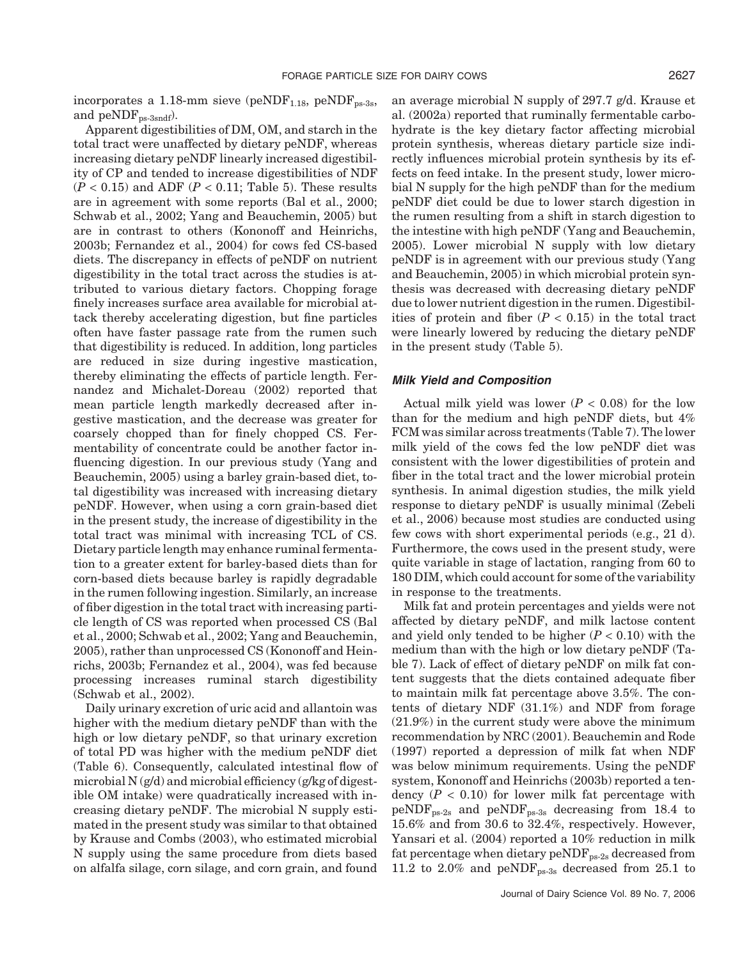incorporates a 1.18-mm sieve (peNDF<sub>1.18</sub>, peNDF<sub>ps-3s</sub>, and  $peNDF_{ps\text{-}3sndf}$ ).

Apparent digestibilities of DM, OM, and starch in the total tract were unaffected by dietary peNDF, whereas increasing dietary peNDF linearly increased digestibility of CP and tended to increase digestibilities of NDF  $(P < 0.15)$  and ADF  $(P < 0.11$ ; Table 5). These results are in agreement with some reports (Bal et al., 2000; Schwab et al., 2002; Yang and Beauchemin, 2005) but are in contrast to others (Kononoff and Heinrichs, 2003b; Fernandez et al., 2004) for cows fed CS-based diets. The discrepancy in effects of peNDF on nutrient digestibility in the total tract across the studies is attributed to various dietary factors. Chopping forage finely increases surface area available for microbial attack thereby accelerating digestion, but fine particles often have faster passage rate from the rumen such that digestibility is reduced. In addition, long particles are reduced in size during ingestive mastication, thereby eliminating the effects of particle length. Fernandez and Michalet-Doreau (2002) reported that mean particle length markedly decreased after ingestive mastication, and the decrease was greater for coarsely chopped than for finely chopped CS. Fermentability of concentrate could be another factor influencing digestion. In our previous study (Yang and Beauchemin, 2005) using a barley grain-based diet, total digestibility was increased with increasing dietary peNDF. However, when using a corn grain-based diet in the present study, the increase of digestibility in the total tract was minimal with increasing TCL of CS. Dietary particle length may enhance ruminal fermentation to a greater extent for barley-based diets than for corn-based diets because barley is rapidly degradable in the rumen following ingestion. Similarly, an increase of fiber digestion in the total tract with increasing particle length of CS was reported when processed CS (Bal et al., 2000; Schwab et al., 2002; Yang and Beauchemin, 2005), rather than unprocessed CS (Kononoff and Heinrichs, 2003b; Fernandez et al., 2004), was fed because processing increases ruminal starch digestibility (Schwab et al., 2002).

Daily urinary excretion of uric acid and allantoin was higher with the medium dietary peNDF than with the high or low dietary peNDF, so that urinary excretion of total PD was higher with the medium peNDF diet (Table 6). Consequently, calculated intestinal flow of microbial  $N$  (g/d) and microbial efficiency (g/kg of digestible OM intake) were quadratically increased with increasing dietary peNDF. The microbial N supply estimated in the present study was similar to that obtained by Krause and Combs (2003), who estimated microbial N supply using the same procedure from diets based on alfalfa silage, corn silage, and corn grain, and found

to maintain milk fat percentage above 3.5%. The contents of dietary NDF (31.1%) and NDF from forage (21.9%) in the current study were above the minimum recommendation by NRC (2001). Beauchemin and Rode (1997) reported a depression of milk fat when NDF was below minimum requirements. Using the peNDF system, Kononoff and Heinrichs (2003b) reported a tendency  $(P < 0.10)$  for lower milk fat percentage with  $peNDF_{ps-2s}$  and  $peNDF_{ps-3s}$  decreasing from 18.4 to

15.6% and from 30.6 to 32.4%, respectively. However, Yansari et al. (2004) reported a 10% reduction in milk fat percentage when dietary  $peNDF_{ps-2s}$  decreased from 11.2 to 2.0% and peNDF<sub>ps-3s</sub> decreased from 25.1 to

Actual milk yield was lower  $(P < 0.08)$  for the low than for the medium and high peNDF diets, but 4% FCM was similar across treatments (Table 7). The lower milk yield of the cows fed the low peNDF diet was consistent with the lower digestibilities of protein and fiber in the total tract and the lower microbial protein synthesis. In animal digestion studies, the milk yield response to dietary peNDF is usually minimal (Zebeli et al., 2006) because most studies are conducted using few cows with short experimental periods (e.g., 21 d). Furthermore, the cows used in the present study, were quite variable in stage of lactation, ranging from 60 to 180 DIM, which could account for some of the variability in response to the treatments.

Milk fat and protein percentages and yields were not affected by dietary peNDF, and milk lactose content and yield only tended to be higher  $(P < 0.10)$  with the medium than with the high or low dietary peNDF (Table 7). Lack of effect of dietary peNDF on milk fat content suggests that the diets contained adequate fiber

al. (2002a) reported that ruminally fermentable carbohydrate is the key dietary factor affecting microbial protein synthesis, whereas dietary particle size indirectly influences microbial protein synthesis by its effects on feed intake. In the present study, lower microbial N supply for the high peNDF than for the medium peNDF diet could be due to lower starch digestion in the rumen resulting from a shift in starch digestion to the intestine with high peNDF (Yang and Beauchemin, 2005). Lower microbial N supply with low dietary peNDF is in agreement with our previous study (Yang and Beauchemin, 2005) in which microbial protein synthesis was decreased with decreasing dietary peNDF due to lower nutrient digestion in the rumen. Digestibilities of protein and fiber  $(P < 0.15)$  in the total tract were linearly lowered by reducing the dietary peNDF in the present study (Table 5).

an average microbial N supply of 297.7 g/d. Krause et

# *Milk Yield and Composition*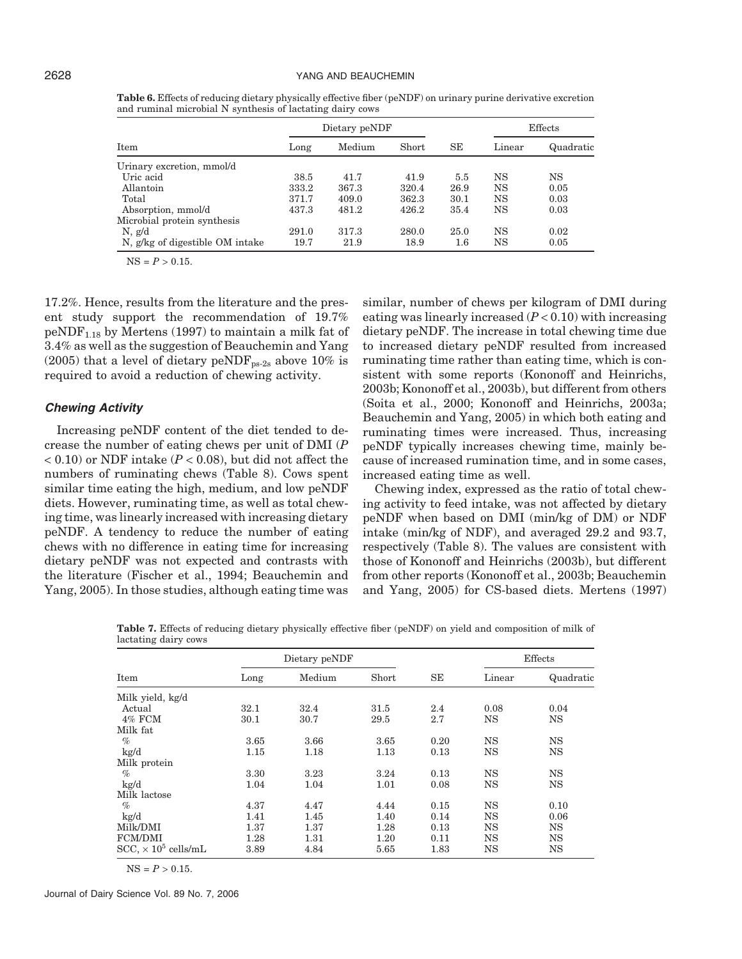|                                 |       | Dietary peNDF |       |         | Effects |           |  |
|---------------------------------|-------|---------------|-------|---------|---------|-----------|--|
| Item                            | Long  | Medium        | Short | SE      | Linear  | Quadratic |  |
| Urinary excretion, mmol/d       |       |               |       |         |         |           |  |
| Uric acid                       | 38.5  | 41.7          | 41.9  | 5.5     | NS      | NS        |  |
| Allantoin                       | 333.2 | 367.3         | 320.4 | 26.9    | NS      | 0.05      |  |
| Total                           | 371.7 | 409.0         | 362.3 | 30.1    | NS      | 0.03      |  |
| Absorption, mmol/d              | 437.3 | 481.2         | 426.2 | 35.4    | NS      | 0.03      |  |
| Microbial protein synthesis     |       |               |       |         |         |           |  |
| N, g/d                          | 291.0 | 317.3         | 280.0 | 25.0    | NS      | 0.02      |  |
| N, g/kg of digestible OM intake | 19.7  | 21.9          | 18.9  | $1.6\,$ | NS      | 0.05      |  |

**Table 6.** Effects of reducing dietary physically effective fiber (peNDF) on urinary purine derivative excretion and ruminal microbial N synthesis of lactating dairy cows

 $NS = P > 0.15$ .

17.2%. Hence, results from the literature and the present study support the recommendation of 19.7%  $peNDF<sub>1.18</sub>$  by Mertens (1997) to maintain a milk fat of 3.4% as well as the suggestion of Beauchemin and Yang (2005) that a level of dietary peNDF<sub>ps-2s</sub> above 10% is required to avoid a reduction of chewing activity.

# *Chewing Activity*

Increasing peNDF content of the diet tended to decrease the number of eating chews per unit of DMI (*P*  $< 0.10$ ) or NDF intake ( $P < 0.08$ ), but did not affect the numbers of ruminating chews (Table 8). Cows spent similar time eating the high, medium, and low peNDF diets. However, ruminating time, as well as total chewing time, was linearly increased with increasing dietary peNDF. A tendency to reduce the number of eating chews with no difference in eating time for increasing dietary peNDF was not expected and contrasts with the literature (Fischer et al., 1994; Beauchemin and Yang, 2005). In those studies, although eating time was

similar, number of chews per kilogram of DMI during eating was linearly increased (*P* < 0.10) with increasing dietary peNDF. The increase in total chewing time due to increased dietary peNDF resulted from increased ruminating time rather than eating time, which is consistent with some reports (Kononoff and Heinrichs, 2003b; Kononoff et al., 2003b), but different from others (Soita et al., 2000; Kononoff and Heinrichs, 2003a; Beauchemin and Yang, 2005) in which both eating and ruminating times were increased. Thus, increasing peNDF typically increases chewing time, mainly because of increased rumination time, and in some cases, increased eating time as well.

Chewing index, expressed as the ratio of total chewing activity to feed intake, was not affected by dietary peNDF when based on DMI (min/kg of DM) or NDF intake (min/kg of NDF), and averaged 29.2 and 93.7, respectively (Table 8). The values are consistent with those of Kononoff and Heinrichs (2003b), but different from other reports (Kononoff et al., 2003b; Beauchemin and Yang, 2005) for CS-based diets. Mertens (1997)

| ractating dairy cows         |      |               |       |      |             |           |  |
|------------------------------|------|---------------|-------|------|-------------|-----------|--|
|                              |      | Dietary peNDF |       |      | Effects     |           |  |
| Item                         | Long | Medium        | Short | SE   | Linear      | Quadratic |  |
| Milk yield, kg/d             |      |               |       |      |             |           |  |
| Actual                       | 32.1 | 32.4          | 31.5  | 2.4  | 0.08        | 0.04      |  |
| 4% FCM                       | 30.1 | 30.7          | 29.5  | 2.7  | $_{\rm NS}$ | <b>NS</b> |  |
| Milk fat                     |      |               |       |      |             |           |  |
| $\%$                         | 3.65 | 3.66          | 3.65  | 0.20 | <b>NS</b>   | <b>NS</b> |  |
| kg/d                         | 1.15 | 1.18          | 1.13  | 0.13 | $_{\rm NS}$ | <b>NS</b> |  |
| Milk protein                 |      |               |       |      |             |           |  |
| $\%$                         | 3.30 | 3.23          | 3.24  | 0.13 | <b>NS</b>   | <b>NS</b> |  |
| kg/d                         | 1.04 | 1.04          | 1.01  | 0.08 | $_{\rm NS}$ | <b>NS</b> |  |
| Milk lactose                 |      |               |       |      |             |           |  |
| $\%$                         | 4.37 | 4.47          | 4.44  | 0.15 | <b>NS</b>   | 0.10      |  |
| kg/d                         | 1.41 | 1.45          | 1.40  | 0.14 | $_{\rm NS}$ | 0.06      |  |
| Milk/DMI                     | 1.37 | 1.37          | 1.28  | 0.13 | $_{\rm NS}$ | <b>NS</b> |  |
| <b>FCM/DMI</b>               | 1.28 | 1.31          | 1.20  | 0.11 | <b>NS</b>   | <b>NS</b> |  |
| $SCC_1 \times 10^5$ cells/mL | 3.89 | 4.84          | 5.65  | 1.83 | $_{\rm NS}$ | <b>NS</b> |  |

**Table 7.** Effects of reducing dietary physically effective fiber (peNDF) on yield and composition of milk of lactating dairy cows

 $NS = P > 0.15$ .

Journal of Dairy Science Vol. 89 No. 7, 2006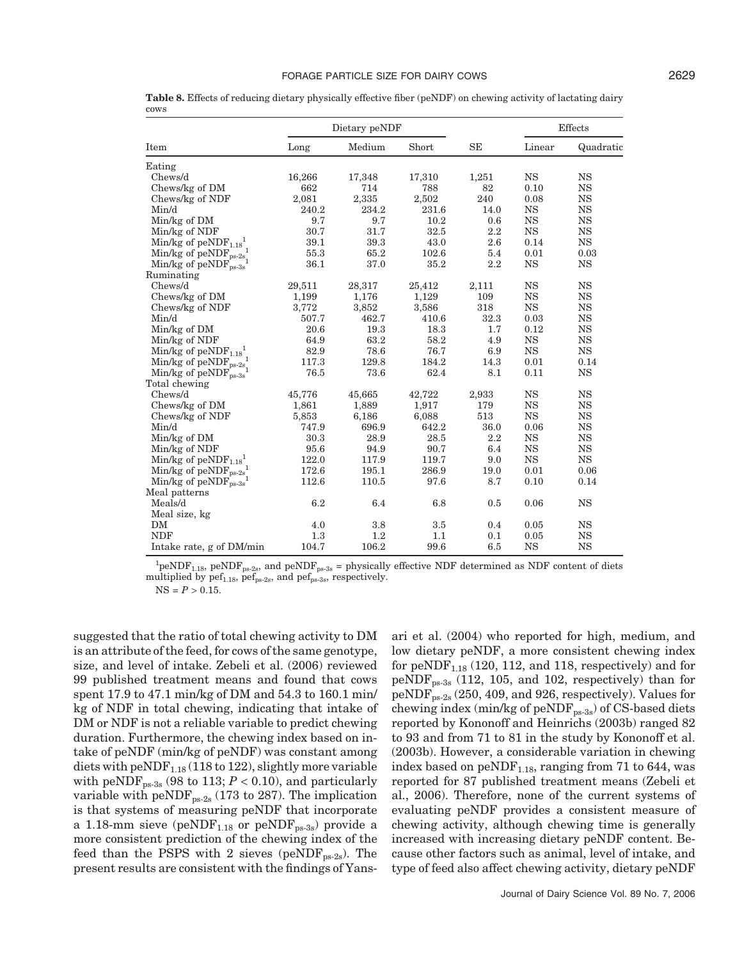|                                                                                                                                                      |        | Dietary peNDF |        |       | Effects   |           |  |
|------------------------------------------------------------------------------------------------------------------------------------------------------|--------|---------------|--------|-------|-----------|-----------|--|
| Item                                                                                                                                                 | Long   | Medium        | Short  | SE    | Linear    | Quadratic |  |
| Eating                                                                                                                                               |        |               |        |       |           |           |  |
| Chews/d                                                                                                                                              | 16,266 | 17,348        | 17,310 | 1,251 | <b>NS</b> | <b>NS</b> |  |
| Chews/kg of DM                                                                                                                                       | 662    | 714           | 788    | 82    | 0.10      | <b>NS</b> |  |
| Chews/kg of NDF                                                                                                                                      | 2,081  | 2,335         | 2,502  | 240   | 0.08      | NS        |  |
| Min/d                                                                                                                                                | 240.2  | 234.2         | 231.6  | 14.0  | <b>NS</b> | <b>NS</b> |  |
| Min/kg of DM                                                                                                                                         | 9.7    | 9.7           | 10.2   | 0.6   | <b>NS</b> | NS        |  |
| Min/kg of NDF                                                                                                                                        | 30.7   | 31.7          | 32.5   | 2.2   | <b>NS</b> | <b>NS</b> |  |
|                                                                                                                                                      | 39.1   | 39.3          | 43.0   | 2.6   | 0.14      | <b>NS</b> |  |
|                                                                                                                                                      | 55.3   | 65.2          | 102.6  | 5.4   | 0.01      | 0.03      |  |
| $\begin{array}{c} \text{Min/kg of peNDF}_{1.18}^1 \\ \text{Min/kg of peNDF}_{ps\text{-}3s}^1 \\ \text{Min/kg of peNDF}_{ps\text{-}3s}^1 \end{array}$ | 36.1   | 37.0          | 35.2   | 2.2   | <b>NS</b> | <b>NS</b> |  |
| Ruminating                                                                                                                                           |        |               |        |       |           |           |  |
| Chews/d                                                                                                                                              | 29,511 | 28,317        | 25,412 | 2,111 | <b>NS</b> | <b>NS</b> |  |
| Chews/kg of DM                                                                                                                                       | 1,199  | 1,176         | 1,129  | 109   | <b>NS</b> | NS        |  |
| Chews/kg of NDF                                                                                                                                      | 3,772  | 3,852         | 3,586  | 318   | <b>NS</b> | <b>NS</b> |  |
| Min/d                                                                                                                                                | 507.7  | 462.7         | 410.6  | 32.3  | 0.03      | <b>NS</b> |  |
| Min/kg of DM                                                                                                                                         | 20.6   | 19.3          | 18.3   | 1.7   | 0.12      | <b>NS</b> |  |
| Min/kg of NDF                                                                                                                                        | 64.9   | 63.2          | 58.2   | 4.9   | <b>NS</b> | <b>NS</b> |  |
| Min/kg of $peNDF_{1.18}$ <sup>1</sup>                                                                                                                | 82.9   | 78.6          | 76.7   | 6.9   | <b>NS</b> | <b>NS</b> |  |
| $Min/kg$ of $peNDF_{ps-2s}^{-1}$                                                                                                                     | 117.3  | 129.8         | 184.2  | 14.3  | 0.01      | 0.14      |  |
| $Min/kg$ of peNDF <sub>ps-3s</sub>                                                                                                                   | 76.5   | 73.6          | 62.4   | 8.1   | 0.11      | <b>NS</b> |  |
| Total chewing                                                                                                                                        |        |               |        |       |           |           |  |
| Chews/d                                                                                                                                              | 45,776 | 45,665        | 42,722 | 2,933 | NS        | <b>NS</b> |  |
| Chews/kg of DM                                                                                                                                       | 1,861  | 1,889         | 1,917  | 179   | <b>NS</b> | <b>NS</b> |  |
| Chews/kg of NDF                                                                                                                                      | 5,853  | 6,186         | 6,088  | 513   | <b>NS</b> | NS        |  |
| Min/d                                                                                                                                                | 747.9  | 696.9         | 642.2  | 36.0  | 0.06      | <b>NS</b> |  |
| Min/kg of DM                                                                                                                                         | 30.3   | 28.9          | 28.5   | 2.2   | <b>NS</b> | <b>NS</b> |  |
| Min/kg of NDF                                                                                                                                        | 95.6   | 94.9          | 90.7   | 6.4   | <b>NS</b> | <b>NS</b> |  |
| Min/kg of peNDF <sub>1.18</sub> <sup>1</sup>                                                                                                         | 122.0  | 117.9         | 119.7  | 9.0   | <b>NS</b> | <b>NS</b> |  |
| Min/kg of peNDF <sub>ps-2s</sub>                                                                                                                     | 172.6  | 195.1         | 286.9  | 19.0  | 0.01      | 0.06      |  |
| Min/kg of $peNDF_{ps-3s}$                                                                                                                            | 112.6  | 110.5         | 97.6   | 8.7   | 0.10      | 0.14      |  |
| Meal patterns                                                                                                                                        |        |               |        |       |           |           |  |
| Meals/d                                                                                                                                              | 6.2    | 6.4           | 6.8    | 0.5   | 0.06      | <b>NS</b> |  |
| Meal size, kg                                                                                                                                        |        |               |        |       |           |           |  |
| DM                                                                                                                                                   | 4.0    | 3.8           | 3.5    | 0.4   | 0.05      | <b>NS</b> |  |
| <b>NDF</b>                                                                                                                                           | 1.3    | 1.2           | 1.1    | 0.1   | 0.05      | <b>NS</b> |  |
| Intake rate, g of DM/min                                                                                                                             | 104.7  | 106.2         | 99.6   | 6.5   | <b>NS</b> | <b>NS</b> |  |

**Table 8.** Effects of reducing dietary physically effective fiber (peNDF) on chewing activity of lactating dairy cows

 ${}^{1}$ peNDF<sub>1.18</sub>, peNDF<sub>ps-2s</sub>, and peNDF<sub>ps-3s</sub> = physically effective NDF determined as NDF content of diets multiplied by  $\text{pcf}_{1.18}$ ,  $\text{pcf}_{\text{ps-2s}}$ , and  $\text{pcf}_{\text{ps-3s}}$ , respectively.

 $NS = P > 0.15$ .

suggested that the ratio of total chewing activity to DM is an attribute of the feed, for cows of the same genotype, size, and level of intake. Zebeli et al. (2006) reviewed 99 published treatment means and found that cows spent 17.9 to 47.1 min/kg of DM and 54.3 to 160.1 min/ kg of NDF in total chewing, indicating that intake of DM or NDF is not a reliable variable to predict chewing duration. Furthermore, the chewing index based on intake of peNDF (min/kg of peNDF) was constant among diets with  $peNDF_{1.18}$  (118 to 122), slightly more variable with peNDF<sub>ps-3s</sub> (98 to 113;  $P < 0.10$ ), and particularly variable with peND $F_{ps-2s}$  (173 to 287). The implication is that systems of measuring peNDF that incorporate a 1.18-mm sieve (peNDF<sub>1.18</sub> or peNDF<sub>ps-3s</sub>) provide a more consistent prediction of the chewing index of the feed than the PSPS with 2 sieves (peND $F_{ps-2s}$ ). The present results are consistent with the findings of Yansari et al. (2004) who reported for high, medium, and low dietary peNDF, a more consistent chewing index for peNDF<sub>1.18</sub> (120, 112, and 118, respectively) and for  $peNDF_{ps-3s}$  (112, 105, and 102, respectively) than for  $peNDF<sub>ps-2s</sub>$  (250, 409, and 926, respectively). Values for chewing index (min/kg of peND $F_{ps-3s}$ ) of CS-based diets reported by Kononoff and Heinrichs (2003b) ranged 82 to 93 and from 71 to 81 in the study by Kononoff et al. (2003b). However, a considerable variation in chewing index based on  $peNDF_{1.18}$ , ranging from 71 to 644, was reported for 87 published treatment means (Zebeli et al., 2006). Therefore, none of the current systems of evaluating peNDF provides a consistent measure of chewing activity, although chewing time is generally increased with increasing dietary peNDF content. Because other factors such as animal, level of intake, and type of feed also affect chewing activity, dietary peNDF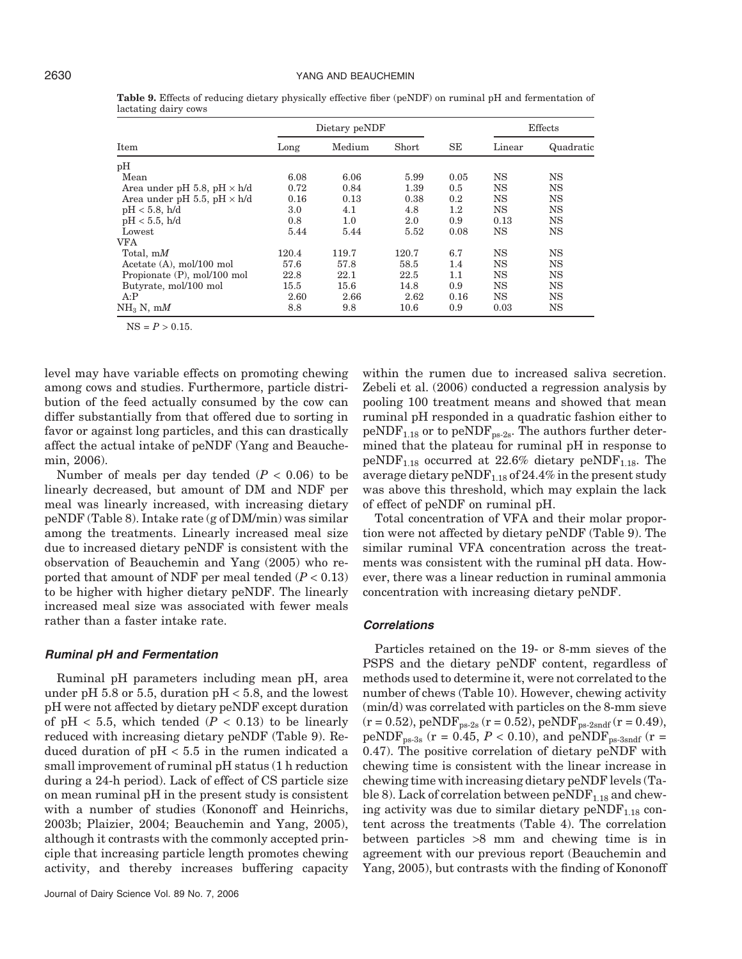|                                    |       | Dietary peNDF |       |         | Effects   |             |  |
|------------------------------------|-------|---------------|-------|---------|-----------|-------------|--|
| Item                               | Long  | Medium        | Short | SE      | Linear    | Quadratic   |  |
| pH                                 |       |               |       |         |           |             |  |
| Mean                               | 6.08  | 6.06          | 5.99  | 0.05    | NS        | <b>NS</b>   |  |
| Area under pH 5.8, pH $\times$ h/d | 0.72  | 0.84          | 1.39  | 0.5     | NS        | <b>NS</b>   |  |
| Area under pH 5.5, pH $\times$ h/d | 0.16  | 0.13          | 0.38  | 0.2     | NS        | <b>NS</b>   |  |
| $pH < 5.8$ , h/d                   | 3.0   | 4.1           | 4.8   | $1.2\,$ | <b>NS</b> | <b>NS</b>   |  |
| $pH < 5.5$ , h/d                   | 0.8   | $1.0\,$       | 2.0   | 0.9     | 0.13      | <b>NS</b>   |  |
| Lowest                             | 5.44  | 5.44          | 5.52  | 0.08    | NS        | NS          |  |
| VFA                                |       |               |       |         |           |             |  |
| Total, $mM$                        | 120.4 | 119.7         | 120.7 | 6.7     | NS        | <b>NS</b>   |  |
| Acetate (A), mol/100 mol           | 57.6  | 57.8          | 58.5  | 1.4     | NS        | <b>NS</b>   |  |
| Propionate $(P)$ , mol/100 mol     | 22.8  | 22.1          | 22.5  | 1.1     | NS        | <b>NS</b>   |  |
| Butyrate, mol/100 mol              | 15.5  | 15.6          | 14.8  | 0.9     | NS        | <b>NS</b>   |  |
| A: P                               | 2.60  | 2.66          | 2.62  | 0.16    | <b>NS</b> | $_{\rm NS}$ |  |
| NH <sub>3</sub> N, mM              | 8.8   | 9.8           | 10.6  | 0.9     | 0.03      | NS          |  |

**Table 9.** Effects of reducing dietary physically effective fiber (peNDF) on ruminal pH and fermentation of lactating dairy cows

 $NS = P > 0.15$ .

level may have variable effects on promoting chewing among cows and studies. Furthermore, particle distribution of the feed actually consumed by the cow can differ substantially from that offered due to sorting in favor or against long particles, and this can drastically affect the actual intake of peNDF (Yang and Beauchemin, 2006).

Number of meals per day tended  $(P < 0.06)$  to be linearly decreased, but amount of DM and NDF per meal was linearly increased, with increasing dietary peNDF (Table 8). Intake rate (g of DM/min) was similar among the treatments. Linearly increased meal size due to increased dietary peNDF is consistent with the observation of Beauchemin and Yang (2005) who reported that amount of NDF per meal tended (*P* < 0.13) to be higher with higher dietary peNDF. The linearly increased meal size was associated with fewer meals rather than a faster intake rate.

## *Ruminal pH and Fermentation*

Ruminal pH parameters including mean pH, area under pH 5.8 or 5.5, duration  $pH < 5.8$ , and the lowest pH were not affected by dietary peNDF except duration of pH  $< 5.5$ , which tended ( $P < 0.13$ ) to be linearly reduced with increasing dietary peNDF (Table 9). Reduced duration of  $pH < 5.5$  in the rumen indicated a small improvement of ruminal pH status (1 h reduction during a 24-h period). Lack of effect of CS particle size on mean ruminal pH in the present study is consistent with a number of studies (Kononoff and Heinrichs, 2003b; Plaizier, 2004; Beauchemin and Yang, 2005), although it contrasts with the commonly accepted principle that increasing particle length promotes chewing activity, and thereby increases buffering capacity

within the rumen due to increased saliva secretion. Zebeli et al. (2006) conducted a regression analysis by pooling 100 treatment means and showed that mean ruminal pH responded in a quadratic fashion either to  $peNDF<sub>1.18</sub>$  or to  $peNDF<sub>ps-2s</sub>$ . The authors further determined that the plateau for ruminal pH in response to  $peNDF_{1,18}$  occurred at 22.6% dietary  $peNDF_{1,18}$ . The average dietary peNDF<sub>1.18</sub> of 24.4% in the present study was above this threshold, which may explain the lack of effect of peNDF on ruminal pH.

Total concentration of VFA and their molar proportion were not affected by dietary peNDF (Table 9). The similar ruminal VFA concentration across the treatments was consistent with the ruminal pH data. However, there was a linear reduction in ruminal ammonia concentration with increasing dietary peNDF.

#### *Correlations*

Particles retained on the 19- or 8-mm sieves of the PSPS and the dietary peNDF content, regardless of methods used to determine it, were not correlated to the number of chews (Table 10). However, chewing activity (min/d) was correlated with particles on the 8-mm sieve  $(r = 0.52)$ , peNDF<sub>ps-2s</sub>  $(r = 0.52)$ , peNDF<sub>ps-2sndf</sub>  $(r = 0.49)$ , peNDF<sub>ps-3s</sub> ( $r = 0.45, P < 0.10$ ), and peNDF<sub>ps-3sndf</sub> ( $r =$ 0.47). The positive correlation of dietary peNDF with chewing time is consistent with the linear increase in chewing time with increasing dietary peNDF levels (Table 8). Lack of correlation between  $\text{peNDF}_{1.18}$  and chewing activity was due to similar dietary  $peNDF<sub>1.18</sub>$  content across the treatments (Table 4). The correlation between particles >8 mm and chewing time is in agreement with our previous report (Beauchemin and Yang, 2005), but contrasts with the finding of Kononoff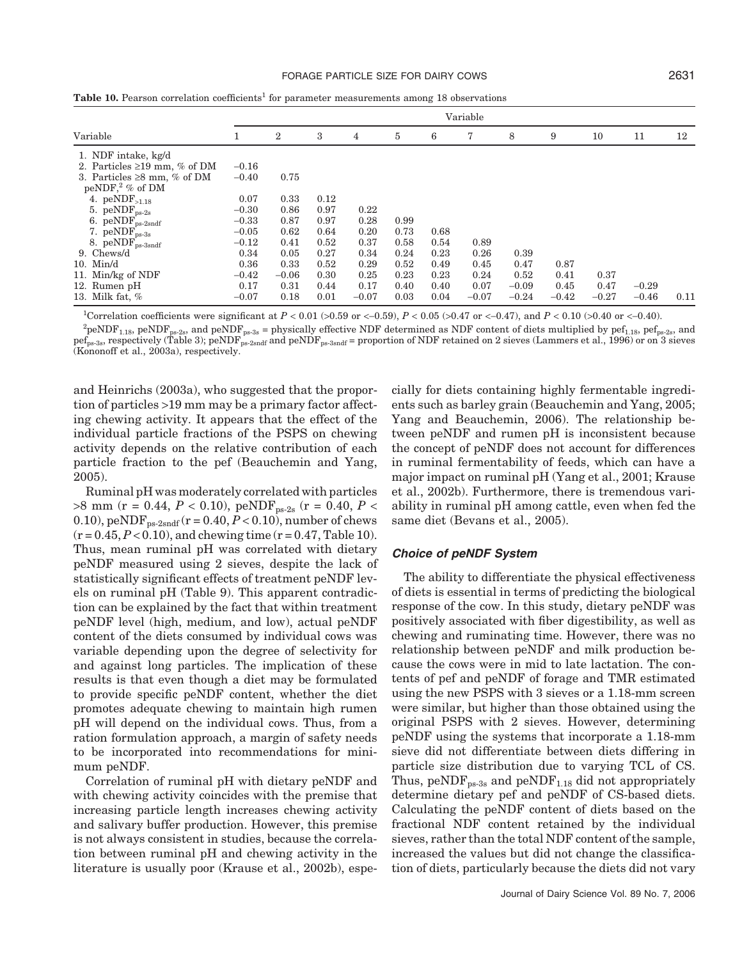|                                    |         |                  |      |         |      |      | Variable |         |         |         |         |      |
|------------------------------------|---------|------------------|------|---------|------|------|----------|---------|---------|---------|---------|------|
| Variable                           |         | $\boldsymbol{2}$ | 3    | 4       | 5    | 6    | 7        | 8       | 9       | 10      | 11      | 12   |
| 1. NDF intake, kg/d                |         |                  |      |         |      |      |          |         |         |         |         |      |
| 2. Particles $\geq$ 19 mm, % of DM | $-0.16$ |                  |      |         |      |      |          |         |         |         |         |      |
| 3. Particles $\geq 8$ mm, % of DM  | $-0.40$ | 0.75             |      |         |      |      |          |         |         |         |         |      |
| peNDF, <sup>2</sup> % of DM        |         |                  |      |         |      |      |          |         |         |         |         |      |
| 4. $peNDF_{>1.18}$                 | 0.07    | 0.33             | 0.12 |         |      |      |          |         |         |         |         |      |
| 5. $peNDF_{ps-2s}$                 | $-0.30$ | 0.86             | 0.97 | 0.22    |      |      |          |         |         |         |         |      |
| 6. $peNDF_{ps-2sndf}$              | $-0.33$ | 0.87             | 0.97 | 0.28    | 0.99 |      |          |         |         |         |         |      |
| 7. $peNDF_{ps-3s}$                 | $-0.05$ | 0.62             | 0.64 | 0.20    | 0.73 | 0.68 |          |         |         |         |         |      |
| 8. $peNDF_{ps\text{-}3sndf}$       | $-0.12$ | 0.41             | 0.52 | 0.37    | 0.58 | 0.54 | 0.89     |         |         |         |         |      |
| 9. Chews/d                         | 0.34    | 0.05             | 0.27 | 0.34    | 0.24 | 0.23 | 0.26     | 0.39    |         |         |         |      |
| $10.$ Min/d                        | 0.36    | 0.33             | 0.52 | 0.29    | 0.52 | 0.49 | 0.45     | 0.47    | 0.87    |         |         |      |
| 11. Min/kg of NDF                  | $-0.42$ | $-0.06$          | 0.30 | 0.25    | 0.23 | 0.23 | 0.24     | 0.52    | 0.41    | 0.37    |         |      |
| 12. Rumen pH                       | 0.17    | 0.31             | 0.44 | 0.17    | 0.40 | 0.40 | 0.07     | $-0.09$ | 0.45    | 0.47    | $-0.29$ |      |
| 13. Milk fat, %                    | $-0.07$ | 0.18             | 0.01 | $-0.07$ | 0.03 | 0.04 | $-0.07$  | $-0.24$ | $-0.42$ | $-0.27$ | $-0.46$ | 0.11 |

**Table 10.** Pearson correlation coefficients<sup>1</sup> for parameter measurements among 18 observations

<sup>1</sup>Correlation coefficients were significant at *P* < 0.01 (>0.59 or <−0.59), *P* < 0.05 (>0.47 or <−0.47), and *P* < 0.10 (>0.40 or <−0.40).

 ${}^{2}$ peNDF<sub>1.18</sub>, peNDF<sub>ps-2s</sub>, and peNDF<sub>ps-3s</sub> = physically effective NDF determined as NDF content of diets multiplied by pef<sub>1.18</sub>, pef<sub>ps-2s</sub>, and pef<sub>ps-3s</sub>, respectively (Table 3); peNDF<sub>ps-2sndf</sub> and peNDF<sub>ps-3sndf</sub> = proportion of NDF retained on 2 sieves (Lammers et al., 1996) or on 3 sieves (Kononoff et al., 2003a), respectively.

and Heinrichs (2003a), who suggested that the proportion of particles >19 mm may be a primary factor affecting chewing activity. It appears that the effect of the individual particle fractions of the PSPS on chewing activity depends on the relative contribution of each particle fraction to the pef (Beauchemin and Yang, 2005).

Ruminal pH was moderately correlated with particles  $>8$  mm (r = 0.44, *P* < 0.10), peNDF<sub>ps-2s</sub> (r = 0.40, *P* < 0.10), peNDF<sub>ps-2sndf</sub>  $(r = 0.40, P < 0.10)$ , number of chews  $(r = 0.45, P < 0.10)$ , and chewing time  $(r = 0.47, Table 10)$ . Thus, mean ruminal pH was correlated with dietary peNDF measured using 2 sieves, despite the lack of statistically significant effects of treatment peNDF levels on ruminal pH (Table 9). This apparent contradiction can be explained by the fact that within treatment peNDF level (high, medium, and low), actual peNDF content of the diets consumed by individual cows was variable depending upon the degree of selectivity for and against long particles. The implication of these results is that even though a diet may be formulated to provide specific peNDF content, whether the diet promotes adequate chewing to maintain high rumen pH will depend on the individual cows. Thus, from a ration formulation approach, a margin of safety needs to be incorporated into recommendations for minimum peNDF.

Correlation of ruminal pH with dietary peNDF and with chewing activity coincides with the premise that increasing particle length increases chewing activity and salivary buffer production. However, this premise is not always consistent in studies, because the correlation between ruminal pH and chewing activity in the literature is usually poor (Krause et al., 2002b), especially for diets containing highly fermentable ingredients such as barley grain (Beauchemin and Yang, 2005; Yang and Beauchemin, 2006). The relationship between peNDF and rumen pH is inconsistent because the concept of peNDF does not account for differences in ruminal fermentability of feeds, which can have a major impact on ruminal pH (Yang et al., 2001; Krause et al., 2002b). Furthermore, there is tremendous variability in ruminal pH among cattle, even when fed the same diet (Bevans et al., 2005).

# *Choice of peNDF System*

The ability to differentiate the physical effectiveness of diets is essential in terms of predicting the biological response of the cow. In this study, dietary peNDF was positively associated with fiber digestibility, as well as chewing and ruminating time. However, there was no relationship between peNDF and milk production because the cows were in mid to late lactation. The contents of pef and peNDF of forage and TMR estimated using the new PSPS with 3 sieves or a 1.18-mm screen were similar, but higher than those obtained using the original PSPS with 2 sieves. However, determining peNDF using the systems that incorporate a 1.18-mm sieve did not differentiate between diets differing in particle size distribution due to varying TCL of CS. Thus, peNDF<sub>ps-3s</sub> and peNDF<sub>1.18</sub> did not appropriately determine dietary pef and peNDF of CS-based diets. Calculating the peNDF content of diets based on the fractional NDF content retained by the individual sieves, rather than the total NDF content of the sample, increased the values but did not change the classification of diets, particularly because the diets did not vary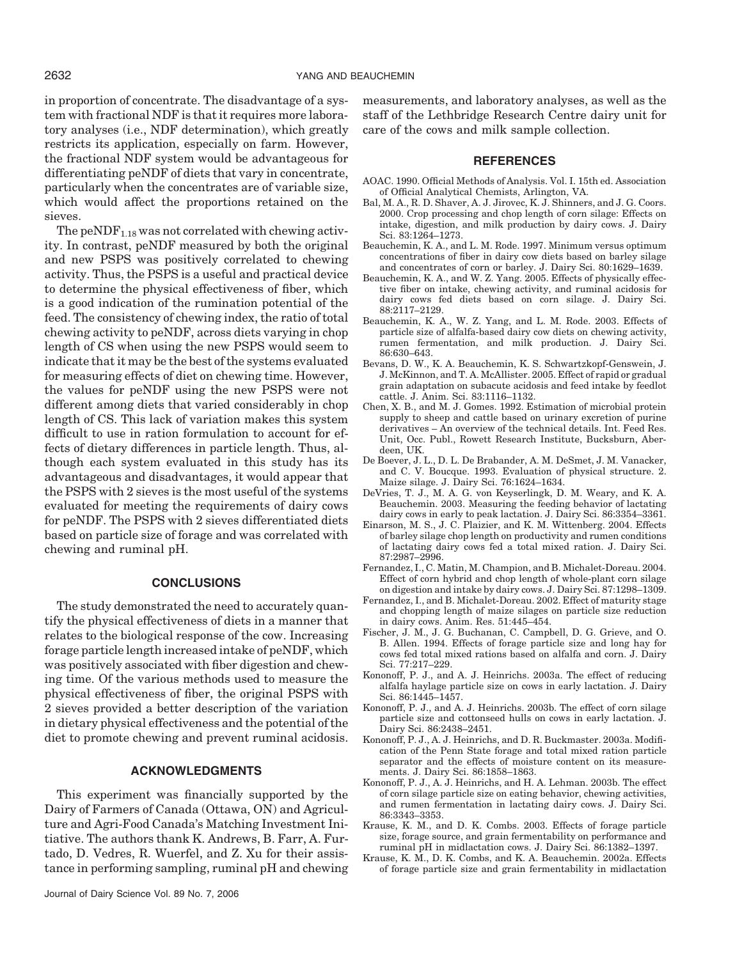in proportion of concentrate. The disadvantage of a system with fractional NDF is that it requires more laboratory analyses (i.e., NDF determination), which greatly restricts its application, especially on farm. However, the fractional NDF system would be advantageous for differentiating peNDF of diets that vary in concentrate, particularly when the concentrates are of variable size, which would affect the proportions retained on the sieves.

The peND $F_{1,18}$  was not correlated with chewing activity. In contrast, peNDF measured by both the original and new PSPS was positively correlated to chewing activity. Thus, the PSPS is a useful and practical device to determine the physical effectiveness of fiber, which is a good indication of the rumination potential of the feed. The consistency of chewing index, the ratio of total chewing activity to peNDF, across diets varying in chop length of CS when using the new PSPS would seem to indicate that it may be the best of the systems evaluated for measuring effects of diet on chewing time. However, the values for peNDF using the new PSPS were not different among diets that varied considerably in chop length of CS. This lack of variation makes this system difficult to use in ration formulation to account for effects of dietary differences in particle length. Thus, although each system evaluated in this study has its advantageous and disadvantages, it would appear that the PSPS with 2 sieves is the most useful of the systems evaluated for meeting the requirements of dairy cows for peNDF. The PSPS with 2 sieves differentiated diets based on particle size of forage and was correlated with chewing and ruminal pH.

# **CONCLUSIONS**

The study demonstrated the need to accurately quantify the physical effectiveness of diets in a manner that relates to the biological response of the cow. Increasing forage particle length increased intake of peNDF, which was positively associated with fiber digestion and chewing time. Of the various methods used to measure the physical effectiveness of fiber, the original PSPS with 2 sieves provided a better description of the variation in dietary physical effectiveness and the potential of the diet to promote chewing and prevent ruminal acidosis.

# **ACKNOWLEDGMENTS**

This experiment was financially supported by the Dairy of Farmers of Canada (Ottawa, ON) and Agriculture and Agri-Food Canada's Matching Investment Initiative. The authors thank K. Andrews, B. Farr, A. Furtado, D. Vedres, R. Wuerfel, and Z. Xu for their assistance in performing sampling, ruminal pH and chewing measurements, and laboratory analyses, as well as the staff of the Lethbridge Research Centre dairy unit for care of the cows and milk sample collection.

#### **REFERENCES**

- AOAC. 1990. Official Methods of Analysis. Vol. I. 15th ed. Association of Official Analytical Chemists, Arlington, VA.
- Bal, M. A., R. D. Shaver, A. J. Jirovec, K. J. Shinners, and J. G. Coors. 2000. Crop processing and chop length of corn silage: Effects on intake, digestion, and milk production by dairy cows. J. Dairy Sci. 83:1264–1273.
- Beauchemin, K. A., and L. M. Rode. 1997. Minimum versus optimum concentrations of fiber in dairy cow diets based on barley silage and concentrates of corn or barley. J. Dairy Sci. 80:1629–1639.
- Beauchemin, K. A., and W. Z. Yang. 2005. Effects of physically effective fiber on intake, chewing activity, and ruminal acidosis for dairy cows fed diets based on corn silage. J. Dairy Sci. 88:2117–2129.
- Beauchemin, K. A., W. Z. Yang, and L. M. Rode. 2003. Effects of particle size of alfalfa-based dairy cow diets on chewing activity, rumen fermentation, and milk production. J. Dairy Sci. 86:630–643.
- Bevans, D. W., K. A. Beauchemin, K. S. Schwartzkopf-Genswein, J. J. McKinnon, and T. A. McAllister. 2005. Effect of rapid or gradual grain adaptation on subacute acidosis and feed intake by feedlot cattle. J. Anim. Sci. 83:1116–1132.
- Chen, X. B., and M. J. Gomes. 1992. Estimation of microbial protein supply to sheep and cattle based on urinary excretion of purine derivatives – An overview of the technical details. Int. Feed Res. Unit, Occ. Publ., Rowett Research Institute, Bucksburn, Aberdeen, UK.
- De Boever, J. L., D. L. De Brabander, A. M. DeSmet, J. M. Vanacker, and C. V. Boucque. 1993. Evaluation of physical structure. 2. Maize silage. J. Dairy Sci. 76:1624–1634.
- DeVries, T. J., M. A. G. von Keyserlingk, D. M. Weary, and K. A. Beauchemin. 2003. Measuring the feeding behavior of lactating dairy cows in early to peak lactation. J. Dairy Sci. 86:3354–3361.
- Einarson, M. S., J. C. Plaizier, and K. M. Wittenberg. 2004. Effects of barley silage chop length on productivity and rumen conditions of lactating dairy cows fed a total mixed ration. J. Dairy Sci. 87:2987–2996.
- Fernandez, I., C. Matin, M. Champion, and B. Michalet-Doreau. 2004. Effect of corn hybrid and chop length of whole-plant corn silage on digestion and intake by dairy cows. J. Dairy Sci. 87:1298–1309.
- Fernandez, I., and B. Michalet-Doreau. 2002. Effect of maturity stage and chopping length of maize silages on particle size reduction in dairy cows. Anim. Res. 51:445–454.
- Fischer, J. M., J. G. Buchanan, C. Campbell, D. G. Grieve, and O. B. Allen. 1994. Effects of forage particle size and long hay for cows fed total mixed rations based on alfalfa and corn. J. Dairy Sci. 77:217–229.
- Kononoff, P. J., and A. J. Heinrichs. 2003a. The effect of reducing alfalfa haylage particle size on cows in early lactation. J. Dairy Sci. 86:1445–1457.
- Kononoff, P. J., and A. J. Heinrichs. 2003b. The effect of corn silage particle size and cottonseed hulls on cows in early lactation. J. Dairy Sci. 86:2438–2451.
- Kononoff, P. J., A. J. Heinrichs, and D. R. Buckmaster. 2003a. Modification of the Penn State forage and total mixed ration particle separator and the effects of moisture content on its measurements. J. Dairy Sci. 86:1858–1863.
- Kononoff, P. J., A. J. Heinrichs, and H. A. Lehman. 2003b. The effect of corn silage particle size on eating behavior, chewing activities, and rumen fermentation in lactating dairy cows. J. Dairy Sci. 86:3343–3353.
- Krause, K. M., and D. K. Combs. 2003. Effects of forage particle size, forage source, and grain fermentability on performance and ruminal pH in midlactation cows. J. Dairy Sci. 86:1382–1397.
- Krause, K. M., D. K. Combs, and K. A. Beauchemin. 2002a. Effects of forage particle size and grain fermentability in midlactation